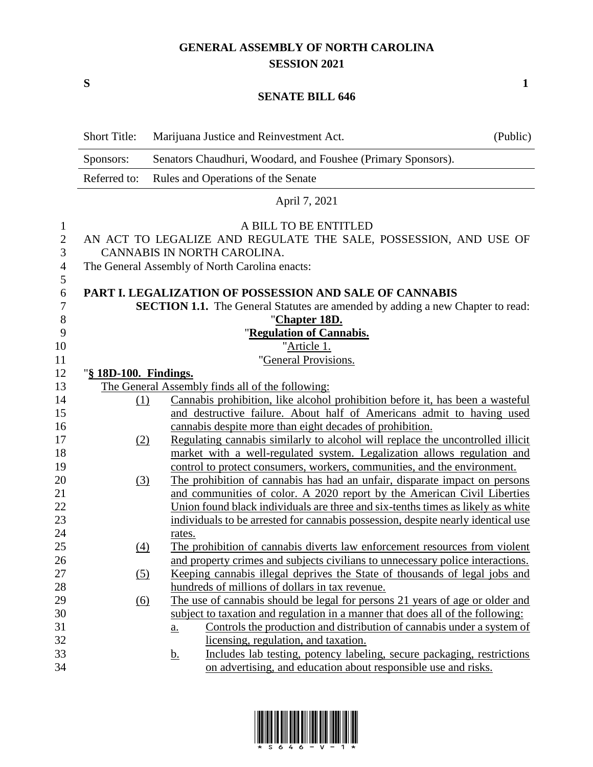## **GENERAL ASSEMBLY OF NORTH CAROLINA SESSION 2021**

**S 1**

## **SENATE BILL 646**

|                                  | <b>Short Title:</b>   | Marijuana Justice and Reinvestment Act.                                                                                                                                    | (Public) |
|----------------------------------|-----------------------|----------------------------------------------------------------------------------------------------------------------------------------------------------------------------|----------|
|                                  | Sponsors:             | Senators Chaudhuri, Woodard, and Foushee (Primary Sponsors).                                                                                                               |          |
|                                  | Referred to:          | Rules and Operations of the Senate                                                                                                                                         |          |
|                                  |                       | April 7, 2021                                                                                                                                                              |          |
| 1<br>$\mathbf{2}$<br>3<br>4<br>5 |                       | A BILL TO BE ENTITLED<br>AN ACT TO LEGALIZE AND REGULATE THE SALE, POSSESSION, AND USE OF<br>CANNABIS IN NORTH CAROLINA.<br>The General Assembly of North Carolina enacts: |          |
| 6<br>7                           |                       | PART I. LEGALIZATION OF POSSESSION AND SALE OF CANNABIS<br><b>SECTION 1.1.</b> The General Statutes are amended by adding a new Chapter to read:                           |          |
| 8<br>9                           |                       | "Chapter 18D.<br>"Regulation of Cannabis.                                                                                                                                  |          |
| 10                               |                       | "Article 1.                                                                                                                                                                |          |
| 11                               |                       | "General Provisions.                                                                                                                                                       |          |
| 12                               | "§ 18D-100. Findings. |                                                                                                                                                                            |          |
| 13                               |                       | The General Assembly finds all of the following:                                                                                                                           |          |
| 14                               | (1)                   | Cannabis prohibition, like alcohol prohibition before it, has been a wasteful                                                                                              |          |
| 15                               |                       | and destructive failure. About half of Americans admit to having used                                                                                                      |          |
| 16                               |                       | cannabis despite more than eight decades of prohibition.                                                                                                                   |          |
| 17                               | (2)                   | Regulating cannabis similarly to alcohol will replace the uncontrolled illicit                                                                                             |          |
| 18                               |                       | market with a well-regulated system. Legalization allows regulation and                                                                                                    |          |
| 19                               |                       | control to protect consumers, workers, communities, and the environment.                                                                                                   |          |
| 20                               | (3)                   | The prohibition of cannabis has had an unfair, disparate impact on persons                                                                                                 |          |
| 21                               |                       | and communities of color. A 2020 report by the American Civil Liberties                                                                                                    |          |
| 22                               |                       | Union found black individuals are three and six-tenths times as likely as white                                                                                            |          |
| 23                               |                       | individuals to be arrested for cannabis possession, despite nearly identical use                                                                                           |          |
| 24                               |                       | rates.                                                                                                                                                                     |          |
| 25                               | (4)                   | The prohibition of cannabis diverts law enforcement resources from violent                                                                                                 |          |
| 26                               |                       | and property crimes and subjects civilians to unnecessary police interactions.                                                                                             |          |
| 27                               | (5)                   | Keeping cannabis illegal deprives the State of thousands of legal jobs and                                                                                                 |          |
| 28                               |                       | hundreds of millions of dollars in tax revenue.                                                                                                                            |          |
| 29                               | $\underline{(6)}$     | The use of cannabis should be legal for persons 21 years of age or older and                                                                                               |          |
| 30                               |                       | subject to taxation and regulation in a manner that does all of the following:                                                                                             |          |
| 31                               |                       | Controls the production and distribution of cannabis under a system of<br>$\underline{a}$ .                                                                                |          |
| 32                               |                       | licensing, regulation, and taxation.                                                                                                                                       |          |
| 33                               |                       | Includes lab testing, potency labeling, secure packaging, restrictions<br><u>b.</u>                                                                                        |          |
| 34                               |                       | on advertising, and education about responsible use and risks.                                                                                                             |          |

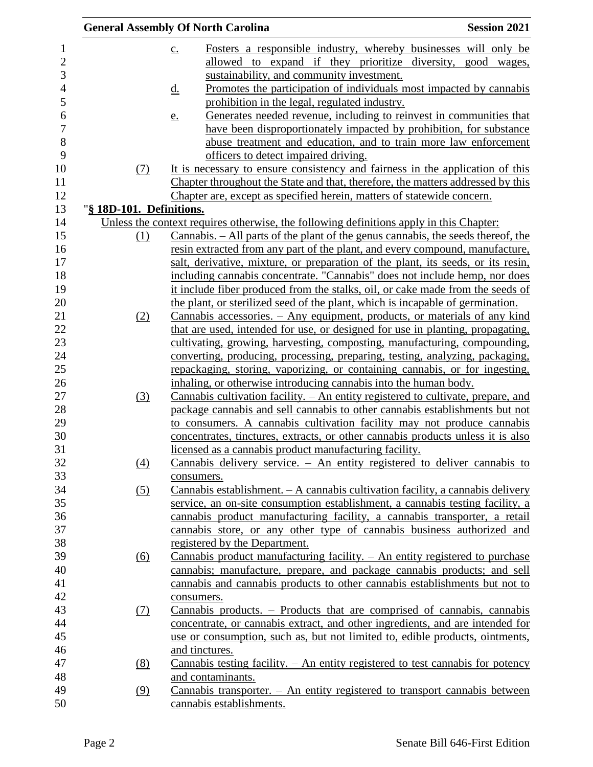|                          | <b>General Assembly Of North Carolina</b><br><b>Session 2021</b>                                |
|--------------------------|-------------------------------------------------------------------------------------------------|
|                          | Fosters a responsible industry, whereby businesses will only be<br>$\underline{c}$ .            |
|                          | allowed to expand if they prioritize diversity, good wages,                                     |
|                          | sustainability, and community investment.                                                       |
|                          | Promotes the participation of individuals most impacted by cannabis<br><u>d.</u>                |
|                          | prohibition in the legal, regulated industry.                                                   |
|                          | Generates needed revenue, including to reinvest in communities that<br><u>e.</u>                |
|                          | have been disproportionately impacted by prohibition, for substance                             |
|                          | abuse treatment and education, and to train more law enforcement                                |
|                          | officers to detect impaired driving.                                                            |
| (7)                      | It is necessary to ensure consistency and fairness in the application of this                   |
|                          | Chapter throughout the State and that, therefore, the matters addressed by this                 |
|                          | Chapter are, except as specified herein, matters of statewide concern.                          |
| "§ 18D-101. Definitions. |                                                                                                 |
|                          | Unless the context requires otherwise, the following definitions apply in this Chapter:         |
| (1)                      | Cannabis. $-$ All parts of the plant of the genus cannabis, the seeds thereof, the              |
|                          | resin extracted from any part of the plant, and every compound, manufacture,                    |
|                          | salt, derivative, mixture, or preparation of the plant, its seeds, or its resin,                |
|                          | including cannabis concentrate. "Cannabis" does not include hemp, nor does                      |
|                          | it include fiber produced from the stalks, oil, or cake made from the seeds of                  |
|                          | the plant, or sterilized seed of the plant, which is incapable of germination.                  |
| (2)                      | Cannabis accessories. - Any equipment, products, or materials of any kind                       |
|                          | that are used, intended for use, or designed for use in planting, propagating,                  |
|                          | cultivating, growing, harvesting, composting, manufacturing, compounding,                       |
|                          | converting, producing, processing, preparing, testing, analyzing, packaging,                    |
|                          | repackaging, storing, vaporizing, or containing cannabis, or for ingesting,                     |
|                          | inhaling, or otherwise introducing cannabis into the human body.                                |
| (3)                      | Cannabis cultivation facility. – An entity registered to cultivate, prepare, and                |
|                          | package cannabis and sell cannabis to other cannabis establishments but not                     |
|                          | to consumers. A cannabis cultivation facility may not produce cannabis                          |
|                          | concentrates, tinctures, extracts, or other cannabis products unless it is also                 |
|                          | licensed as a cannabis product manufacturing facility.                                          |
| (4)                      | Cannabis delivery service. $-$ An entity registered to deliver cannabis to                      |
|                          | consumers.<br>Cannabis establishment. - A cannabis cultivation facility, a cannabis delivery    |
| $\left( 5\right)$        | service, an on-site consumption establishment, a cannabis testing facility, a                   |
|                          | cannabis product manufacturing facility, a cannabis transporter, a retail                       |
|                          | cannabis store, or any other type of cannabis business authorized and                           |
|                          | registered by the Department.                                                                   |
| (6)                      | Cannabis product manufacturing facility. $-$ An entity registered to purchase                   |
|                          | cannabis; manufacture, prepare, and package cannabis products; and sell                         |
|                          | cannabis and cannabis products to other cannabis establishments but not to                      |
|                          | consumers.                                                                                      |
| <u>(7)</u>               | Cannabis products. – Products that are comprised of cannabis, cannabis                          |
|                          | concentrate, or cannabis extract, and other ingredients, and are intended for                   |
|                          | use or consumption, such as, but not limited to, edible products, ointments,                    |
|                          | and tinctures.                                                                                  |
|                          |                                                                                                 |
|                          |                                                                                                 |
| (8)                      | Cannabis testing facility. - An entity registered to test cannabis for potency                  |
| (9)                      | and contaminants.<br>Cannabis transporter. - An entity registered to transport cannabis between |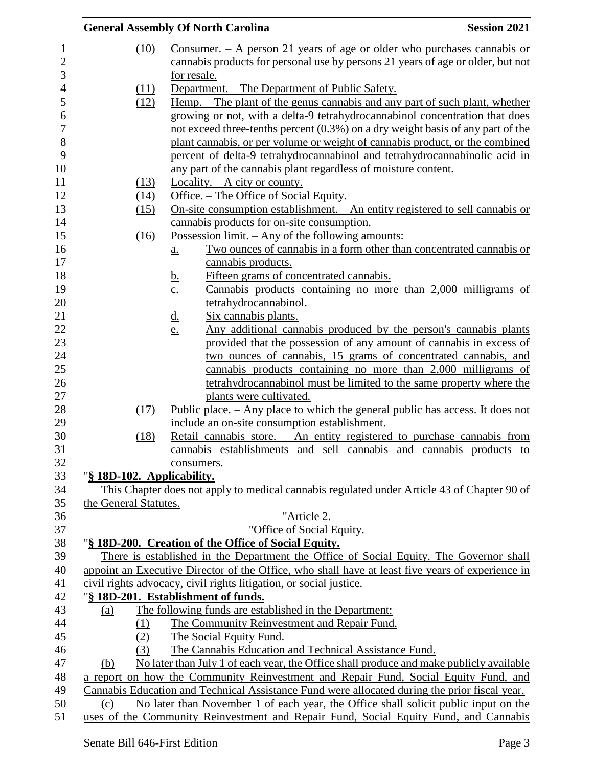|                            | <b>General Assembly Of North Carolina</b><br><b>Session 2021</b>                                  |
|----------------------------|---------------------------------------------------------------------------------------------------|
| (10)                       | Consumer. $-$ A person 21 years of age or older who purchases cannabis or                         |
|                            | cannabis products for personal use by persons 21 years of age or older, but not                   |
|                            | for resale.                                                                                       |
| (11)                       | Department. – The Department of Public Safety.                                                    |
| (12)                       | <u>Hemp. – The plant of the genus cannabis and any part of such plant, whether</u>                |
|                            | growing or not, with a delta-9 tetrahydrocannabinol concentration that does                       |
|                            | not exceed three-tenths percent (0.3%) on a dry weight basis of any part of the                   |
|                            | plant cannabis, or per volume or weight of cannabis product, or the combined                      |
|                            | percent of delta-9 tetrahydrocannabinol and tetrahydrocannabinolic acid in                        |
|                            | any part of the cannabis plant regardless of moisture content.                                    |
| (13)                       | Locality. $-$ A city or county.                                                                   |
| (14)                       | Office. – The Office of Social Equity.                                                            |
| (15)                       | <u>On-site consumption establishment. – An entity registered to sell cannabis or</u>              |
|                            | cannabis products for on-site consumption.                                                        |
| (16)                       | <u>Possession limit. – Any of the following amounts:</u>                                          |
|                            | Two ounces of cannabis in a form other than concentrated cannabis or<br><u>a.</u>                 |
|                            | cannabis products.                                                                                |
|                            | Fifteen grams of concentrated cannabis.<br><u>b.</u>                                              |
|                            | Cannabis products containing no more than 2,000 milligrams of<br>$\underline{c}$ .                |
|                            | tetrahydrocannabinol.                                                                             |
|                            | Six cannabis plants.<br><u>d.</u>                                                                 |
|                            | Any additional cannabis produced by the person's cannabis plants<br>e.                            |
|                            | provided that the possession of any amount of cannabis in excess of                               |
|                            | two ounces of cannabis, 15 grams of concentrated cannabis, and                                    |
|                            | cannabis products containing no more than 2,000 milligrams of                                     |
|                            | tetrahydrocannabinol must be limited to the same property where the                               |
|                            | plants were cultivated.                                                                           |
| (17)                       | <u>Public place. <math>-</math> Any place to which the general public has access. It does not</u> |
|                            | include an on-site consumption establishment.                                                     |
| (18)                       | Retail cannabis store. $-$ An entity registered to purchase cannabis from                         |
|                            | cannabis establishments and sell cannabis and cannabis products to                                |
|                            | consumers.                                                                                        |
| "§ 18D-102. Applicability. |                                                                                                   |
|                            | This Chapter does not apply to medical cannabis regulated under Article 43 of Chapter 90 of       |
| the General Statutes.      |                                                                                                   |
|                            | "Article 2.                                                                                       |
|                            | "Office of Social Equity.                                                                         |
|                            | "§ 18D-200. Creation of the Office of Social Equity.                                              |
|                            | There is established in the Department the Office of Social Equity. The Governor shall            |
|                            | appoint an Executive Director of the Office, who shall have at least five years of experience in  |
|                            | civil rights advocacy, civil rights litigation, or social justice.                                |
|                            | "§ 18D-201. Establishment of funds.                                                               |
| (a)                        | The following funds are established in the Department:                                            |
| (1)                        | The Community Reinvestment and Repair Fund.                                                       |
| (2)                        | The Social Equity Fund.                                                                           |
| (3)                        | The Cannabis Education and Technical Assistance Fund.                                             |
| (b)                        | No later than July 1 of each year, the Office shall produce and make publicly available           |
|                            | a report on how the Community Reinvestment and Repair Fund, Social Equity Fund, and               |
|                            | Cannabis Education and Technical Assistance Fund were allocated during the prior fiscal year.     |
| (c)                        | No later than November 1 of each year, the Office shall solicit public input on the               |
|                            | uses of the Community Reinvestment and Repair Fund, Social Equity Fund, and Cannabis              |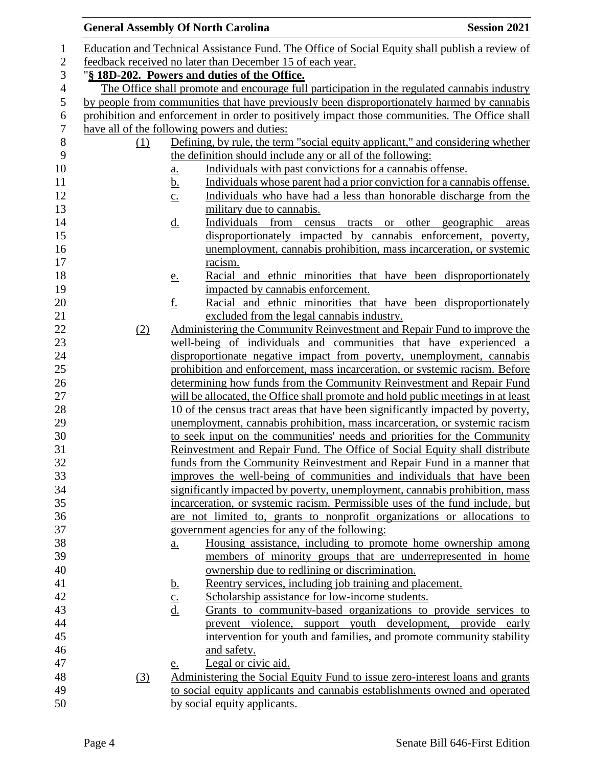|     | <b>General Assembly Of North Carolina</b>                                                                                                                    | <b>Session 2021</b> |
|-----|--------------------------------------------------------------------------------------------------------------------------------------------------------------|---------------------|
|     | Education and Technical Assistance Fund. The Office of Social Equity shall publish a review of                                                               |                     |
|     | feedback received no later than December 15 of each year.                                                                                                    |                     |
|     | "§ 18D-202. Powers and duties of the Office.                                                                                                                 |                     |
|     | The Office shall promote and encourage full participation in the regulated cannabis industry                                                                 |                     |
|     | by people from communities that have previously been disproportionately harmed by cannabis                                                                   |                     |
|     | prohibition and enforcement in order to positively impact those communities. The Office shall                                                                |                     |
|     | have all of the following powers and duties:                                                                                                                 |                     |
| (1) | Defining, by rule, the term "social equity applicant," and considering whether                                                                               |                     |
|     | the definition should include any or all of the following:                                                                                                   |                     |
|     | Individuals with past convictions for a cannabis offense.<br>a.                                                                                              |                     |
|     | Individuals whose parent had a prior conviction for a cannabis offense.<br><u>b.</u>                                                                         |                     |
|     | Individuals who have had a less than honorable discharge from the<br>$\underline{c}$ .                                                                       |                     |
|     | military due to cannabis.                                                                                                                                    |                     |
|     | Individuals from<br>$\underline{\mathrm{d}}$ .<br>tracts or other geographic<br>census                                                                       | areas               |
|     | disproportionately impacted by cannabis enforcement, poverty,                                                                                                |                     |
|     | unemployment, cannabis prohibition, mass incarceration, or systemic                                                                                          |                     |
|     | racism.                                                                                                                                                      |                     |
|     | Racial and ethnic minorities that have been disproportionately<br>e.                                                                                         |                     |
|     | impacted by cannabis enforcement.                                                                                                                            |                     |
|     | f.<br>Racial and ethnic minorities that have been disproportionately                                                                                         |                     |
|     | excluded from the legal cannabis industry.                                                                                                                   |                     |
| (2) | Administering the Community Reinvestment and Repair Fund to improve the                                                                                      |                     |
|     | well-being of individuals and communities that have experienced a                                                                                            |                     |
|     | disproportionate negative impact from poverty, unemployment, cannabis                                                                                        |                     |
|     | prohibition and enforcement, mass incarceration, or systemic racism. Before                                                                                  |                     |
|     | determining how funds from the Community Reinvestment and Repair Fund                                                                                        |                     |
|     | will be allocated, the Office shall promote and hold public meetings in at least                                                                             |                     |
|     | 10 of the census tract areas that have been significantly impacted by poverty,<br>unemployment, cannabis prohibition, mass incarceration, or systemic racism |                     |
|     | to seek input on the communities' needs and priorities for the Community                                                                                     |                     |
|     | Reinvestment and Repair Fund. The Office of Social Equity shall distribute                                                                                   |                     |
|     | funds from the Community Reinvestment and Repair Fund in a manner that                                                                                       |                     |
|     | improves the well-being of communities and individuals that have been                                                                                        |                     |
|     | significantly impacted by poverty, unemployment, cannabis prohibition, mass                                                                                  |                     |
|     | incarceration, or systemic racism. Permissible uses of the fund include, but                                                                                 |                     |
|     | are not limited to, grants to nonprofit organizations or allocations to                                                                                      |                     |
|     | government agencies for any of the following:                                                                                                                |                     |
|     | Housing assistance, including to promote home ownership among<br>$\underline{a}$ .                                                                           |                     |
|     | members of minority groups that are underrepresented in home                                                                                                 |                     |
|     | ownership due to redlining or discrimination.                                                                                                                |                     |
|     | Reentry services, including job training and placement.<br><u>b.</u>                                                                                         |                     |
|     | Scholarship assistance for low-income students.                                                                                                              |                     |
|     | $\frac{c}{d}$<br>Grants to community-based organizations to provide services to                                                                              |                     |
|     | prevent violence, support youth development, provide                                                                                                         | early               |
|     | intervention for youth and families, and promote community stability                                                                                         |                     |
|     | and safety.                                                                                                                                                  |                     |
|     | Legal or civic aid.<br><u>e.</u>                                                                                                                             |                     |
| (3) | Administering the Social Equity Fund to issue zero-interest loans and grants                                                                                 |                     |
|     | to social equity applicants and cannabis establishments owned and operated                                                                                   |                     |
|     | by social equity applicants.                                                                                                                                 |                     |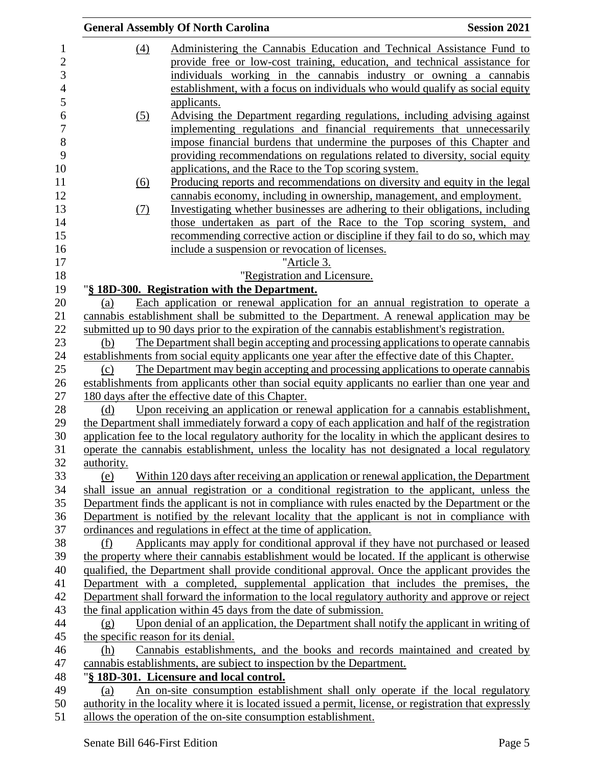|            | <b>Session 2021</b><br><b>General Assembly Of North Carolina</b>                                       |
|------------|--------------------------------------------------------------------------------------------------------|
| (4)        | Administering the Cannabis Education and Technical Assistance Fund to                                  |
|            | provide free or low-cost training, education, and technical assistance for                             |
|            | individuals working in the cannabis industry or owning a cannabis                                      |
|            | establishment, with a focus on individuals who would qualify as social equity                          |
|            | applicants.                                                                                            |
| (5)        | Advising the Department regarding regulations, including advising against                              |
|            | implementing regulations and financial requirements that unnecessarily                                 |
|            | impose financial burdens that undermine the purposes of this Chapter and                               |
|            | providing recommendations on regulations related to diversity, social equity                           |
|            | applications, and the Race to the Top scoring system.                                                  |
| (6)        | Producing reports and recommendations on diversity and equity in the legal                             |
|            | cannabis economy, including in ownership, management, and employment.                                  |
| (7)        | Investigating whether businesses are adhering to their obligations, including                          |
|            | those undertaken as part of the Race to the Top scoring system, and                                    |
|            | recommending corrective action or discipline if they fail to do so, which may                          |
|            | include a suspension or revocation of licenses.                                                        |
|            | "Article 3.                                                                                            |
|            | "Registration and Licensure.                                                                           |
|            | "§ 18D-300. Registration with the Department.                                                          |
| (a)        | Each application or renewal application for an annual registration to operate a                        |
|            | cannabis establishment shall be submitted to the Department. A renewal application may be              |
|            | submitted up to 90 days prior to the expiration of the cannabis establishment's registration.          |
| (b)        | The Department shall begin accepting and processing applications to operate cannabis                   |
|            | establishments from social equity applicants one year after the effective date of this Chapter.        |
| (c)        | The Department may begin accepting and processing applications to operate cannabis                     |
|            | establishments from applicants other than social equity applicants no earlier than one year and        |
|            | 180 days after the effective date of this Chapter.                                                     |
| (d)        | Upon receiving an application or renewal application for a cannabis establishment,                     |
|            | the Department shall immediately forward a copy of each application and half of the registration       |
|            | application fee to the local regulatory authority for the locality in which the applicant desires to   |
|            | operate the cannabis establishment, unless the locality has not designated a local regulatory          |
| authority. |                                                                                                        |
| (e)        | Within 120 days after receiving an application or renewal application, the Department                  |
|            | shall issue an annual registration or a conditional registration to the applicant, unless the          |
|            | Department finds the applicant is not in compliance with rules enacted by the Department or the        |
|            | Department is notified by the relevant locality that the applicant is not in compliance with           |
|            | ordinances and regulations in effect at the time of application.                                       |
| (f)        | Applicants may apply for conditional approval if they have not purchased or leased                     |
|            | the property where their cannabis establishment would be located. If the applicant is otherwise        |
|            | qualified, the Department shall provide conditional approval. Once the applicant provides the          |
|            | Department with a completed, supplemental application that includes the premises, the                  |
|            | Department shall forward the information to the local regulatory authority and approve or reject       |
|            | the final application within 45 days from the date of submission.                                      |
| (g)        | Upon denial of an application, the Department shall notify the applicant in writing of                 |
|            | the specific reason for its denial.                                                                    |
| (h)        | Cannabis establishments, and the books and records maintained and created by                           |
|            | cannabis establishments, are subject to inspection by the Department.                                  |
|            | "§ 18D-301. Licensure and local control.                                                               |
| (a)        | An on-site consumption establishment shall only operate if the local regulatory                        |
|            | authority in the locality where it is located issued a permit, license, or registration that expressly |
|            | allows the operation of the on-site consumption establishment.                                         |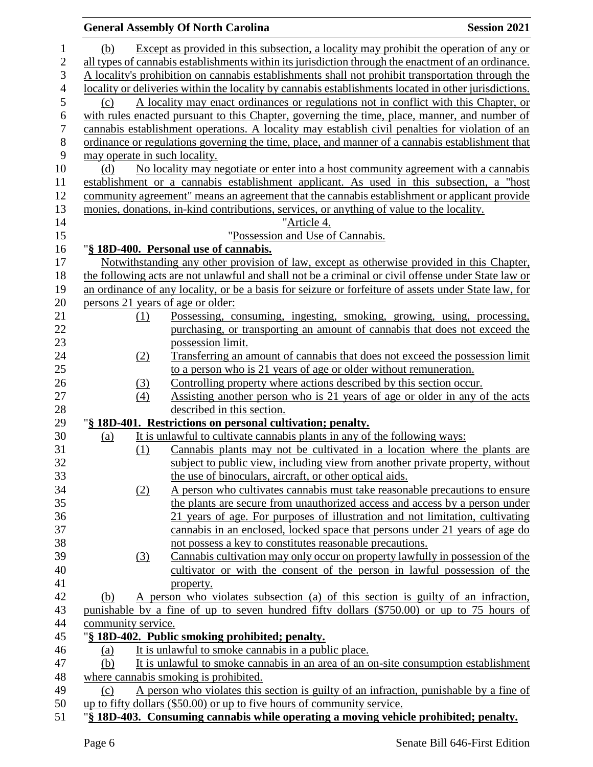|                  |                                   | <b>General Assembly Of North Carolina</b>                                                                                                                                     | <b>Session 2021</b> |
|------------------|-----------------------------------|-------------------------------------------------------------------------------------------------------------------------------------------------------------------------------|---------------------|
| 1                | (b)                               | Except as provided in this subsection, a locality may prohibit the operation of any or                                                                                        |                     |
| $\boldsymbol{2}$ |                                   | all types of cannabis establishments within its jurisdiction through the enactment of an ordinance.                                                                           |                     |
| $\mathfrak{Z}$   |                                   | A locality's prohibition on cannabis establishments shall not prohibit transportation through the                                                                             |                     |
| $\overline{4}$   |                                   | locality or deliveries within the locality by cannabis establishments located in other jurisdictions.                                                                         |                     |
| 5                | (c)                               | A locality may enact ordinances or regulations not in conflict with this Chapter, or                                                                                          |                     |
| 6                |                                   | with rules enacted pursuant to this Chapter, governing the time, place, manner, and number of                                                                                 |                     |
| $\boldsymbol{7}$ |                                   | cannabis establishment operations. A locality may establish civil penalties for violation of an                                                                               |                     |
| 8                |                                   | ordinance or regulations governing the time, place, and manner of a cannabis establishment that                                                                               |                     |
| 9                | may operate in such locality.     |                                                                                                                                                                               |                     |
| 10               | (d)                               | No locality may negotiate or enter into a host community agreement with a cannabis                                                                                            |                     |
| 11               |                                   | establishment or a cannabis establishment applicant. As used in this subsection, a "host                                                                                      |                     |
| 12               |                                   | community agreement" means an agreement that the cannabis establishment or applicant provide                                                                                  |                     |
| 13               |                                   | monies, donations, in-kind contributions, services, or anything of value to the locality.                                                                                     |                     |
| 14               |                                   | "Article 4.                                                                                                                                                                   |                     |
| 15               |                                   | "Possession and Use of Cannabis.                                                                                                                                              |                     |
| 16               |                                   | "§ 18D-400. Personal use of cannabis.                                                                                                                                         |                     |
| 17               |                                   | Notwithstanding any other provision of law, except as otherwise provided in this Chapter,                                                                                     |                     |
| 18               |                                   | the following acts are not unlawful and shall not be a criminal or civil offense under State law or                                                                           |                     |
| 19               |                                   | an ordinance of any locality, or be a basis for seizure or forfeiture of assets under State law, for                                                                          |                     |
| 20               | persons 21 years of age or older: |                                                                                                                                                                               |                     |
| 21               | (1)                               | Possessing, consuming, ingesting, smoking, growing, using, processing,                                                                                                        |                     |
| 22<br>23         |                                   | purchasing, or transporting an amount of cannabis that does not exceed the<br>possession limit.                                                                               |                     |
| 24               | (2)                               | Transferring an amount of cannabis that does not exceed the possession limit                                                                                                  |                     |
| 25               |                                   | to a person who is 21 years of age or older without remuneration.                                                                                                             |                     |
| 26               | (3)                               | Controlling property where actions described by this section occur.                                                                                                           |                     |
| 27               | (4)                               | Assisting another person who is 21 years of age or older in any of the acts                                                                                                   |                     |
| 28               |                                   | described in this section.                                                                                                                                                    |                     |
| 29               |                                   | "§ 18D-401. Restrictions on personal cultivation; penalty.                                                                                                                    |                     |
| 30               | <u>(a)</u>                        | It is unlawful to cultivate cannabis plants in any of the following ways:                                                                                                     |                     |
| 31               | (1)                               | Cannabis plants may not be cultivated in a location where the plants are                                                                                                      |                     |
| 32               |                                   | subject to public view, including view from another private property, without                                                                                                 |                     |
| 33               |                                   | the use of binoculars, aircraft, or other optical aids.                                                                                                                       |                     |
| 34               | (2)                               | A person who cultivates cannabis must take reasonable precautions to ensure                                                                                                   |                     |
| 35               |                                   | the plants are secure from unauthorized access and access by a person under                                                                                                   |                     |
| 36               |                                   | 21 years of age. For purposes of illustration and not limitation, cultivating                                                                                                 |                     |
| 37               |                                   | cannabis in an enclosed, locked space that persons under 21 years of age do                                                                                                   |                     |
| 38               |                                   | not possess a key to constitutes reasonable precautions.                                                                                                                      |                     |
| 39               | (3)                               | Cannabis cultivation may only occur on property lawfully in possession of the                                                                                                 |                     |
| 40               |                                   | cultivator or with the consent of the person in lawful possession of the                                                                                                      |                     |
| 41               |                                   | property.                                                                                                                                                                     |                     |
| 42<br>43         | (b)                               | A person who violates subsection (a) of this section is guilty of an infraction,<br>punishable by a fine of up to seven hundred fifty dollars (\$750.00) or up to 75 hours of |                     |
| 44               | community service.                |                                                                                                                                                                               |                     |
| 45               |                                   | "§ 18D-402. Public smoking prohibited; penalty.                                                                                                                               |                     |
| 46               | (a)                               | It is unlawful to smoke cannabis in a public place.                                                                                                                           |                     |
| 47               | (b)                               | It is unlawful to smoke cannabis in an area of an on-site consumption establishment                                                                                           |                     |
| 48               |                                   | where cannabis smoking is prohibited.                                                                                                                                         |                     |
| 49               | (c)                               | A person who violates this section is guilty of an infraction, punishable by a fine of                                                                                        |                     |
| 50               |                                   | up to fifty dollars (\$50.00) or up to five hours of community service.                                                                                                       |                     |
| 51               |                                   | "§ 18D-403. Consuming cannabis while operating a moving vehicle prohibited; penalty.                                                                                          |                     |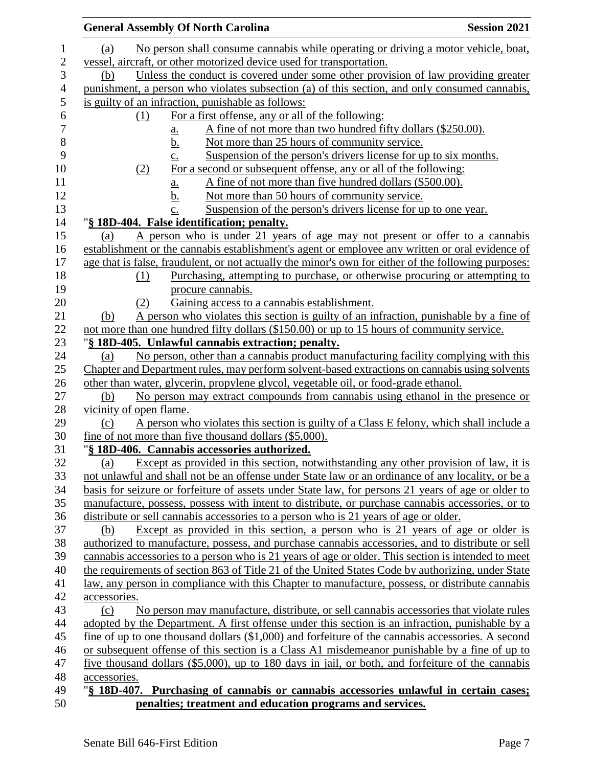|                         | <b>General Assembly Of North Carolina</b>                                                                                                 | <b>Session 2021</b> |
|-------------------------|-------------------------------------------------------------------------------------------------------------------------------------------|---------------------|
| (a)                     | No person shall consume cannabis while operating or driving a motor vehicle, boat,                                                        |                     |
|                         | vessel, aircraft, or other motorized device used for transportation.                                                                      |                     |
| (b)                     | Unless the conduct is covered under some other provision of law providing greater                                                         |                     |
|                         | punishment, a person who violates subsection (a) of this section, and only consumed cannabis,                                             |                     |
|                         | is guilty of an infraction, punishable as follows:                                                                                        |                     |
| (1)                     | For a first offense, any or all of the following:                                                                                         |                     |
|                         | A fine of not more than two hundred fifty dollars (\$250.00).<br>$a_{\cdot}$                                                              |                     |
|                         | Not more than 25 hours of community service.<br><u>b.</u>                                                                                 |                     |
|                         | Suspension of the person's drivers license for up to six months.<br>$\underline{c}$ .                                                     |                     |
| (2)                     | For a second or subsequent offense, any or all of the following:                                                                          |                     |
|                         | A fine of not more than five hundred dollars (\$500.00).<br><u>a.</u>                                                                     |                     |
|                         | <u>b.</u><br>Not more than 50 hours of community service.                                                                                 |                     |
|                         | Suspension of the person's drivers license for up to one year.<br>c.                                                                      |                     |
|                         | "§ 18D-404. False identification; penalty.                                                                                                |                     |
| (a)                     | A person who is under 21 years of age may not present or offer to a cannabis                                                              |                     |
|                         | establishment or the cannabis establishment's agent or employee any written or oral evidence of                                           |                     |
|                         | age that is false, fraudulent, or not actually the minor's own for either of the following purposes:                                      |                     |
| (1)                     | Purchasing, attempting to purchase, or otherwise procuring or attempting to                                                               |                     |
|                         | procure cannabis.                                                                                                                         |                     |
| (2)                     | Gaining access to a cannabis establishment.                                                                                               |                     |
| (b)                     | A person who violates this section is guilty of an infraction, punishable by a fine of                                                    |                     |
|                         | not more than one hundred fifty dollars (\$150.00) or up to 15 hours of community service.                                                |                     |
|                         | "§ 18D-405. Unlawful cannabis extraction; penalty.<br>No person, other than a cannabis product manufacturing facility complying with this |                     |
| (a)                     | Chapter and Department rules, may perform solvent-based extractions on cannabis using solvents                                            |                     |
|                         | other than water, glycerin, propylene glycol, vegetable oil, or food-grade ethanol.                                                       |                     |
| (b)                     | No person may extract compounds from cannabis using ethanol in the presence or                                                            |                     |
| vicinity of open flame. |                                                                                                                                           |                     |
| (c)                     | A person who violates this section is guilty of a Class E felony, which shall include a                                                   |                     |
|                         | fine of not more than five thousand dollars (\$5,000).                                                                                    |                     |
|                         | "§ 18D-406. Cannabis accessories authorized.                                                                                              |                     |
| (a)                     | Except as provided in this section, notwithstanding any other provision of law, it is                                                     |                     |
|                         | not unlawful and shall not be an offense under State law or an ordinance of any locality, or be a                                         |                     |
|                         | basis for seizure or forfeiture of assets under State law, for persons 21 years of age or older to                                        |                     |
|                         | manufacture, possess, possess with intent to distribute, or purchase cannabis accessories, or to                                          |                     |
|                         | distribute or sell cannabis accessories to a person who is 21 years of age or older.                                                      |                     |
| (b)                     | Except as provided in this section, a person who is 21 years of age or older is                                                           |                     |
|                         | authorized to manufacture, possess, and purchase cannabis accessories, and to distribute or sell                                          |                     |
|                         | cannabis accessories to a person who is 21 years of age or older. This section is intended to meet                                        |                     |
|                         | the requirements of section 863 of Title 21 of the United States Code by authorizing, under State                                         |                     |
|                         | law, any person in compliance with this Chapter to manufacture, possess, or distribute cannabis                                           |                     |
| accessories.            |                                                                                                                                           |                     |
| (c)                     | No person may manufacture, distribute, or sell cannabis accessories that violate rules                                                    |                     |
|                         | adopted by the Department. A first offense under this section is an infraction, punishable by a                                           |                     |
|                         | fine of up to one thousand dollars $(\$1,000)$ and forfeiture of the cannabis accessories. A second                                       |                     |
|                         | or subsequent offense of this section is a Class A1 misdemeanor punishable by a fine of up to                                             |                     |
|                         | five thousand dollars (\$5,000), up to 180 days in jail, or both, and forfeiture of the cannabis                                          |                     |
| accessories.            |                                                                                                                                           |                     |
|                         | "\\$ 18D-407. Purchasing of cannabis or cannabis accessories unlawful in certain cases;                                                   |                     |
|                         | penalties; treatment and education programs and services.                                                                                 |                     |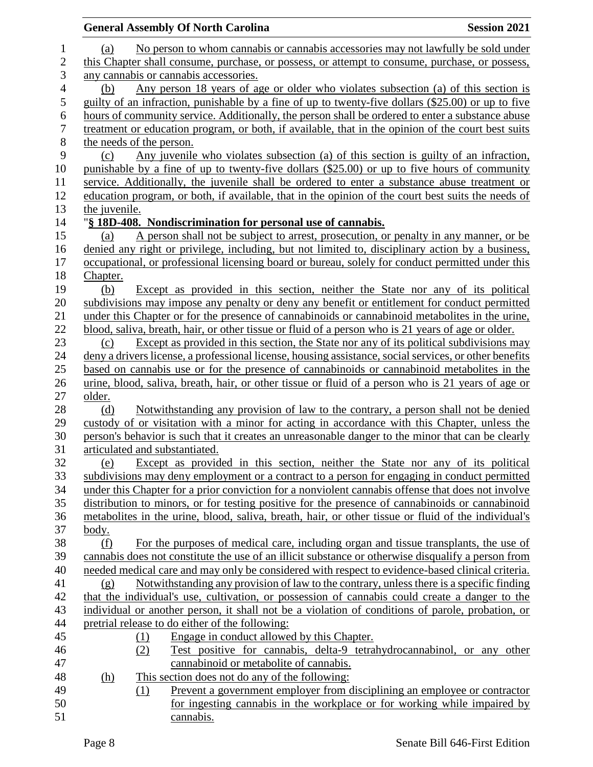|                  | <b>General Assembly Of North Carolina</b>                                                              | <b>Session 2021</b> |
|------------------|--------------------------------------------------------------------------------------------------------|---------------------|
| 1                | No person to whom cannabis or cannabis accessories may not lawfully be sold under<br>(a)               |                     |
| $\overline{c}$   | this Chapter shall consume, purchase, or possess, or attempt to consume, purchase, or possess,         |                     |
| 3                | any cannabis or cannabis accessories.                                                                  |                     |
| 4                | Any person 18 years of age or older who violates subsection (a) of this section is<br>(b)              |                     |
| 5                | guilty of an infraction, punishable by a fine of up to twenty-five dollars (\$25.00) or up to five     |                     |
| $\boldsymbol{6}$ | hours of community service. Additionally, the person shall be ordered to enter a substance abuse       |                     |
| $\boldsymbol{7}$ | treatment or education program, or both, if available, that in the opinion of the court best suits     |                     |
| $8\,$            | the needs of the person.                                                                               |                     |
| 9                | Any juvenile who violates subsection (a) of this section is guilty of an infraction,<br>(c)            |                     |
| 10               | punishable by a fine of up to twenty-five dollars (\$25.00) or up to five hours of community           |                     |
| 11               | service. Additionally, the juvenile shall be ordered to enter a substance abuse treatment or           |                     |
| 12               | education program, or both, if available, that in the opinion of the court best suits the needs of     |                     |
| 13               | the juvenile.                                                                                          |                     |
| 14               | "§ 18D-408. Nondiscrimination for personal use of cannabis.                                            |                     |
| 15               | A person shall not be subject to arrest, prosecution, or penalty in any manner, or be<br>(a)           |                     |
| 16               | denied any right or privilege, including, but not limited to, disciplinary action by a business,       |                     |
| 17               | occupational, or professional licensing board or bureau, solely for conduct permitted under this       |                     |
| 18               | Chapter.                                                                                               |                     |
| 19               | Except as provided in this section, neither the State nor any of its political<br>(b)                  |                     |
| 20               | subdivisions may impose any penalty or deny any benefit or entitlement for conduct permitted           |                     |
| 21               | under this Chapter or for the presence of cannabinoids or cannabinoid metabolites in the urine,        |                     |
| 22               | blood, saliva, breath, hair, or other tissue or fluid of a person who is 21 years of age or older.     |                     |
| 23               | Except as provided in this section, the State nor any of its political subdivisions may<br>(c)         |                     |
| 24               | deny a drivers license, a professional license, housing assistance, social services, or other benefits |                     |
| 25               | based on cannabis use or for the presence of cannabinoids or cannabinoid metabolites in the            |                     |
| 26               | urine, blood, saliva, breath, hair, or other tissue or fluid of a person who is 21 years of age or     |                     |
| 27               | older.                                                                                                 |                     |
| 28               | Notwithstanding any provision of law to the contrary, a person shall not be denied<br>(d)              |                     |
| 29               | custody of or visitation with a minor for acting in accordance with this Chapter, unless the           |                     |
| 30               | person's behavior is such that it creates an unreasonable danger to the minor that can be clearly      |                     |
| 31               | articulated and substantiated.                                                                         |                     |
| 32               | Except as provided in this section, neither the State nor any of its political<br>(e)                  |                     |
| 33               | subdivisions may deny employment or a contract to a person for engaging in conduct permitted           |                     |
| 34               | under this Chapter for a prior conviction for a nonviolent cannabis offense that does not involve      |                     |
| 35               | distribution to minors, or for testing positive for the presence of cannabinoids or cannabinoid        |                     |
| 36               | metabolites in the urine, blood, saliva, breath, hair, or other tissue or fluid of the individual's    |                     |
| 37               | body.                                                                                                  |                     |
| 38               | For the purposes of medical care, including organ and tissue transplants, the use of<br>(f)            |                     |
| 39               | cannabis does not constitute the use of an illicit substance or otherwise disqualify a person from     |                     |
| 40               | needed medical care and may only be considered with respect to evidence-based clinical criteria.       |                     |
| 41               | Notwithstanding any provision of law to the contrary, unless there is a specific finding<br>(g)        |                     |
| 42               | that the individual's use, cultivation, or possession of cannabis could create a danger to the         |                     |
| 43               | individual or another person, it shall not be a violation of conditions of parole, probation, or       |                     |
| 44               | pretrial release to do either of the following:                                                        |                     |
| 45               | Engage in conduct allowed by this Chapter.<br>(1)                                                      |                     |
| 46               | Test positive for cannabis, delta-9 tetrahydrocannabinol, or any other<br>(2)                          |                     |
| 47               | cannabinoid or metabolite of cannabis.                                                                 |                     |
| 48               | This section does not do any of the following:<br><u>(h)</u>                                           |                     |
| 49               | Prevent a government employer from disciplining an employee or contractor<br>(1)                       |                     |
| 50               | for ingesting cannabis in the workplace or for working while impaired by                               |                     |
| 51               | cannabis.                                                                                              |                     |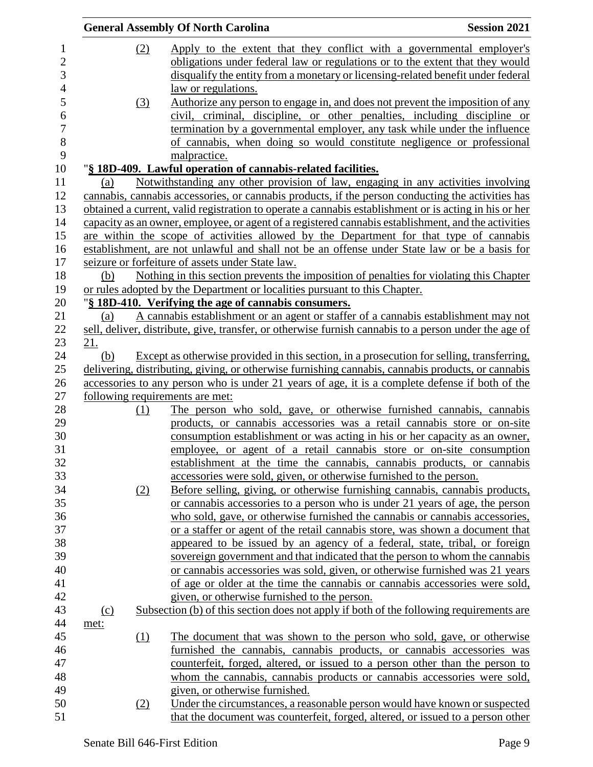|                                    |            |     | <b>General Assembly Of North Carolina</b>                                                                                                                                                                                                  | <b>Session 2021</b> |
|------------------------------------|------------|-----|--------------------------------------------------------------------------------------------------------------------------------------------------------------------------------------------------------------------------------------------|---------------------|
| $\mathbf 1$<br>$\overline{c}$<br>3 |            | (2) | Apply to the extent that they conflict with a governmental employer's<br>obligations under federal law or regulations or to the extent that they would<br>disqualify the entity from a monetary or licensing-related benefit under federal |                     |
| 4                                  |            |     | law or regulations.                                                                                                                                                                                                                        |                     |
| 5                                  |            | (3) | Authorize any person to engage in, and does not prevent the imposition of any                                                                                                                                                              |                     |
| 6<br>7                             |            |     | civil, criminal, discipline, or other penalties, including discipline or<br>termination by a governmental employer, any task while under the influence                                                                                     |                     |
| 8                                  |            |     | of cannabis, when doing so would constitute negligence or professional                                                                                                                                                                     |                     |
| 9                                  |            |     | malpractice.                                                                                                                                                                                                                               |                     |
| 10                                 |            |     | "§ 18D-409. Lawful operation of cannabis-related facilities.                                                                                                                                                                               |                     |
| 11                                 | (a)        |     | Notwithstanding any other provision of law, engaging in any activities involving                                                                                                                                                           |                     |
| 12                                 |            |     | cannabis, cannabis accessories, or cannabis products, if the person conducting the activities has                                                                                                                                          |                     |
| 13                                 |            |     | obtained a current, valid registration to operate a cannabis establishment or is acting in his or her                                                                                                                                      |                     |
| 14                                 |            |     | capacity as an owner, employee, or agent of a registered cannabis establishment, and the activities                                                                                                                                        |                     |
| 15                                 |            |     | are within the scope of activities allowed by the Department for that type of cannabis                                                                                                                                                     |                     |
| 16                                 |            |     | establishment, are not unlawful and shall not be an offense under State law or be a basis for                                                                                                                                              |                     |
| 17                                 |            |     | seizure or forfeiture of assets under State law.                                                                                                                                                                                           |                     |
| 18                                 | (b)        |     | Nothing in this section prevents the imposition of penalties for violating this Chapter                                                                                                                                                    |                     |
| 19                                 |            |     | or rules adopted by the Department or localities pursuant to this Chapter.                                                                                                                                                                 |                     |
| 20                                 |            |     | "§ 18D-410. Verifying the age of cannabis consumers.                                                                                                                                                                                       |                     |
| 21                                 | (a)        |     | A cannabis establishment or an agent or staffer of a cannabis establishment may not                                                                                                                                                        |                     |
| 22                                 |            |     | sell, deliver, distribute, give, transfer, or otherwise furnish cannabis to a person under the age of                                                                                                                                      |                     |
| 23                                 | 21.        |     |                                                                                                                                                                                                                                            |                     |
| 24                                 | (b)        |     | Except as otherwise provided in this section, in a prosecution for selling, transferring,                                                                                                                                                  |                     |
| 25                                 |            |     | delivering, distributing, giving, or otherwise furnishing cannabis, cannabis products, or cannabis                                                                                                                                         |                     |
| 26                                 |            |     | accessories to any person who is under 21 years of age, it is a complete defense if both of the                                                                                                                                            |                     |
| 27                                 |            |     | following requirements are met:                                                                                                                                                                                                            |                     |
| 28                                 |            | (1) | The person who sold, gave, or otherwise furnished cannabis, cannabis                                                                                                                                                                       |                     |
| 29                                 |            |     | products, or cannabis accessories was a retail cannabis store or on-site                                                                                                                                                                   |                     |
| 30                                 |            |     | consumption establishment or was acting in his or her capacity as an owner,                                                                                                                                                                |                     |
| 31                                 |            |     | employee, or agent of a retail cannabis store or on-site consumption                                                                                                                                                                       |                     |
| 32                                 |            |     | establishment at the time the cannabis, cannabis products, or cannabis                                                                                                                                                                     |                     |
| 33                                 |            |     | accessories were sold, given, or otherwise furnished to the person.                                                                                                                                                                        |                     |
| 34                                 |            | (2) | Before selling, giving, or otherwise furnishing cannabis, cannabis products,                                                                                                                                                               |                     |
| 35                                 |            |     | or cannabis accessories to a person who is under 21 years of age, the person                                                                                                                                                               |                     |
| 36                                 |            |     | who sold, gave, or otherwise furnished the cannabis or cannabis accessories,                                                                                                                                                               |                     |
| 37                                 |            |     | or a staffer or agent of the retail cannabis store, was shown a document that                                                                                                                                                              |                     |
| 38                                 |            |     | appeared to be issued by an agency of a federal, state, tribal, or foreign                                                                                                                                                                 |                     |
| 39                                 |            |     | sovereign government and that indicated that the person to whom the cannabis                                                                                                                                                               |                     |
| 40                                 |            |     | or cannabis accessories was sold, given, or otherwise furnished was 21 years                                                                                                                                                               |                     |
| 41                                 |            |     | of age or older at the time the cannabis or cannabis accessories were sold,                                                                                                                                                                |                     |
| 42                                 |            |     | given, or otherwise furnished to the person.                                                                                                                                                                                               |                     |
| 43                                 | <u>(c)</u> |     | Subsection (b) of this section does not apply if both of the following requirements are                                                                                                                                                    |                     |
| 44                                 | met:       |     |                                                                                                                                                                                                                                            |                     |
| 45                                 |            | (1) | The document that was shown to the person who sold, gave, or otherwise                                                                                                                                                                     |                     |
| 46                                 |            |     | furnished the cannabis, cannabis products, or cannabis accessories was                                                                                                                                                                     |                     |
| 47                                 |            |     | counterfeit, forged, altered, or issued to a person other than the person to                                                                                                                                                               |                     |
| 48                                 |            |     |                                                                                                                                                                                                                                            |                     |
| 49                                 |            |     | whom the cannabis, cannabis products or cannabis accessories were sold,                                                                                                                                                                    |                     |
| 50                                 |            |     | given, or otherwise furnished.                                                                                                                                                                                                             |                     |
|                                    |            | (2) | Under the circumstances, a reasonable person would have known or suspected                                                                                                                                                                 |                     |
| 51                                 |            |     | that the document was counterfeit, forged, altered, or issued to a person other                                                                                                                                                            |                     |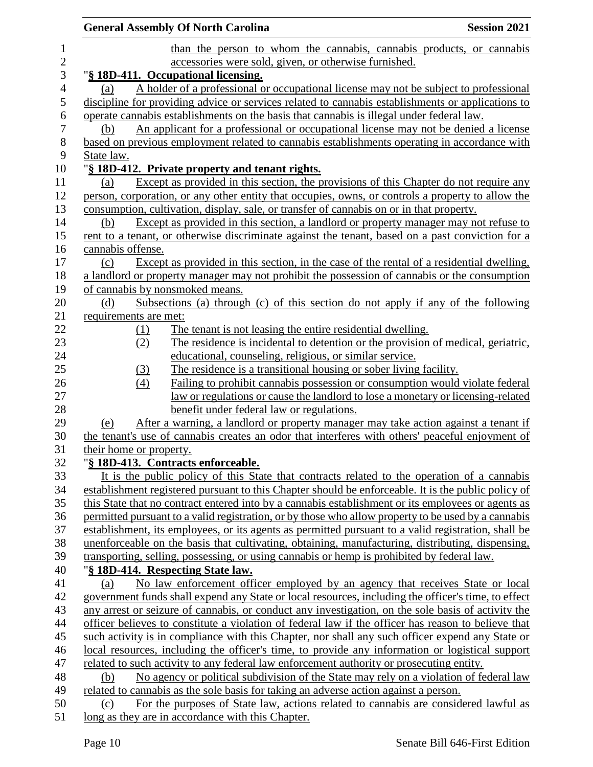|                          | <b>General Assembly Of North Carolina</b>                                                           | <b>Session 2021</b> |
|--------------------------|-----------------------------------------------------------------------------------------------------|---------------------|
| $\mathbf{1}$             | than the person to whom the cannabis, cannabis products, or cannabis                                |                     |
| $\overline{2}$           | accessories were sold, given, or otherwise furnished.                                               |                     |
| 3                        | "§ 18D-411. Occupational licensing.                                                                 |                     |
| $\overline{\mathcal{A}}$ | A holder of a professional or occupational license may not be subject to professional<br>(a)        |                     |
| 5                        | discipline for providing advice or services related to cannabis establishments or applications to   |                     |
| 6                        | operate cannabis establishments on the basis that cannabis is illegal under federal law.            |                     |
| 7                        | An applicant for a professional or occupational license may not be denied a license<br>(b)          |                     |
| $8\,$                    | based on previous employment related to cannabis establishments operating in accordance with        |                     |
| 9                        | State law.                                                                                          |                     |
| 10                       | "§ 18D-412. Private property and tenant rights.                                                     |                     |
| 11                       | Except as provided in this section, the provisions of this Chapter do not require any<br>(a)        |                     |
| 12                       | person, corporation, or any other entity that occupies, owns, or controls a property to allow the   |                     |
| 13                       | consumption, cultivation, display, sale, or transfer of cannabis on or in that property.            |                     |
| 14                       | Except as provided in this section, a landlord or property manager may not refuse to<br>(b)         |                     |
| 15                       | rent to a tenant, or otherwise discriminate against the tenant, based on a past conviction for a    |                     |
| 16                       | cannabis offense.                                                                                   |                     |
| 17                       | Except as provided in this section, in the case of the rental of a residential dwelling,<br>(c)     |                     |
| 18                       | a landlord or property manager may not prohibit the possession of cannabis or the consumption       |                     |
| 19                       | of cannabis by nonsmoked means.                                                                     |                     |
| 20                       | Subsections (a) through (c) of this section do not apply if any of the following<br>(d)             |                     |
| 21                       | requirements are met:                                                                               |                     |
| 22                       | The tenant is not leasing the entire residential dwelling.<br>(1)                                   |                     |
| 23                       | The residence is incidental to detention or the provision of medical, geriatric,<br>(2)             |                     |
| 24                       | educational, counseling, religious, or similar service.                                             |                     |
| 25                       | The residence is a transitional housing or sober living facility.<br>(3)                            |                     |
| 26                       | Failing to prohibit cannabis possession or consumption would violate federal<br>(4)                 |                     |
| 27                       | law or regulations or cause the landlord to lose a monetary or licensing-related                    |                     |
| 28                       | benefit under federal law or regulations.                                                           |                     |
| 29                       | After a warning, a landlord or property manager may take action against a tenant if<br>(e)          |                     |
| 30<br>31                 | the tenant's use of cannabis creates an odor that interferes with others' peaceful enjoyment of     |                     |
| 32                       | their home or property.<br>"§ 18D-413. Contracts enforceable.                                       |                     |
| 33                       | It is the public policy of this State that contracts related to the operation of a cannabis         |                     |
| 34                       | establishment registered pursuant to this Chapter should be enforceable. It is the public policy of |                     |
| 35                       | this State that no contract entered into by a cannabis establishment or its employees or agents as  |                     |
| 36                       | permitted pursuant to a valid registration, or by those who allow property to be used by a cannabis |                     |
| 37                       | establishment, its employees, or its agents as permitted pursuant to a valid registration, shall be |                     |
| 38                       | unenforceable on the basis that cultivating, obtaining, manufacturing, distributing, dispensing,    |                     |
| 39                       | transporting, selling, possessing, or using cannabis or hemp is prohibited by federal law.          |                     |
| 40                       | "§ 18D-414. Respecting State law.                                                                   |                     |
| 41                       | No law enforcement officer employed by an agency that receives State or local<br>(a)                |                     |
| 42                       | government funds shall expend any State or local resources, including the officer's time, to effect |                     |
| 43                       | any arrest or seizure of cannabis, or conduct any investigation, on the sole basis of activity the  |                     |
| 44                       | officer believes to constitute a violation of federal law if the officer has reason to believe that |                     |
| 45                       | such activity is in compliance with this Chapter, nor shall any such officer expend any State or    |                     |
| 46                       | local resources, including the officer's time, to provide any information or logistical support     |                     |
| 47                       | related to such activity to any federal law enforcement authority or prosecuting entity.            |                     |
| 48                       | No agency or political subdivision of the State may rely on a violation of federal law<br>(b)       |                     |
| 49                       | related to cannabis as the sole basis for taking an adverse action against a person.                |                     |
| 50                       | For the purposes of State law, actions related to cannabis are considered lawful as<br>(c)          |                     |
| 51                       | long as they are in accordance with this Chapter.                                                   |                     |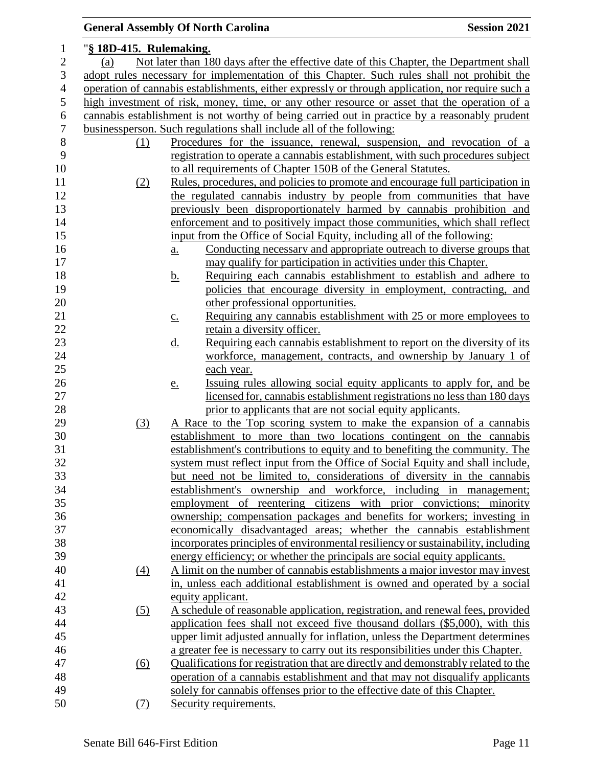|                  | <b>General Assembly Of North Carolina</b>                                                   |                            |                                                                                                                                             | <b>Session 2021</b> |
|------------------|---------------------------------------------------------------------------------------------|----------------------------|---------------------------------------------------------------------------------------------------------------------------------------------|---------------------|
| 1                | "§ 18D-415. Rulemaking.                                                                     |                            |                                                                                                                                             |                     |
| $\boldsymbol{2}$ | (a)                                                                                         |                            | Not later than 180 days after the effective date of this Chapter, the Department shall                                                      |                     |
| $\mathfrak{Z}$   | adopt rules necessary for implementation of this Chapter. Such rules shall not prohibit the |                            |                                                                                                                                             |                     |
| $\overline{4}$   |                                                                                             |                            | operation of cannabis establishments, either expressly or through application, nor require such a                                           |                     |
| 5                |                                                                                             |                            | high investment of risk, money, time, or any other resource or asset that the operation of a                                                |                     |
| 6                |                                                                                             |                            | cannabis establishment is not worthy of being carried out in practice by a reasonably prudent                                               |                     |
| $\tau$           |                                                                                             |                            | businessperson. Such regulations shall include all of the following:                                                                        |                     |
| $8\,$            | (1)                                                                                         |                            | Procedures for the issuance, renewal, suspension, and revocation of a                                                                       |                     |
| 9                |                                                                                             |                            | registration to operate a cannabis establishment, with such procedures subject                                                              |                     |
| 10               |                                                                                             |                            | to all requirements of Chapter 150B of the General Statutes.                                                                                |                     |
| 11               | (2)                                                                                         |                            | Rules, procedures, and policies to promote and encourage full participation in                                                              |                     |
| 12               |                                                                                             |                            | the regulated cannabis industry by people from communities that have                                                                        |                     |
| 13               |                                                                                             |                            | previously been disproportionately harmed by cannabis prohibition and                                                                       |                     |
| 14               |                                                                                             |                            | enforcement and to positively impact those communities, which shall reflect                                                                 |                     |
| 15               |                                                                                             |                            | input from the Office of Social Equity, including all of the following:                                                                     |                     |
| 16               |                                                                                             | $\underline{\mathbf{a}}$ . | Conducting necessary and appropriate outreach to diverse groups that                                                                        |                     |
| 17               |                                                                                             |                            | may qualify for participation in activities under this Chapter.                                                                             |                     |
| 18               |                                                                                             | <u>b.</u>                  | Requiring each cannabis establishment to establish and adhere to                                                                            |                     |
| 19               |                                                                                             |                            | policies that encourage diversity in employment, contracting, and                                                                           |                     |
| 20               |                                                                                             |                            | other professional opportunities.                                                                                                           |                     |
| 21               |                                                                                             | $\underline{c}$ .          | Requiring any cannabis establishment with 25 or more employees to                                                                           |                     |
| 22               |                                                                                             |                            | retain a diversity officer.                                                                                                                 |                     |
| 23               |                                                                                             | <u>d.</u>                  | Requiring each cannabis establishment to report on the diversity of its                                                                     |                     |
| 24               |                                                                                             |                            | workforce, management, contracts, and ownership by January 1 of                                                                             |                     |
| 25               |                                                                                             |                            | each year.                                                                                                                                  |                     |
| 26               |                                                                                             | <u>e.</u>                  | Issuing rules allowing social equity applicants to apply for, and be                                                                        |                     |
| 27               |                                                                                             |                            | licensed for, cannabis establishment registrations no less than 180 days                                                                    |                     |
| 28<br>29         |                                                                                             |                            | prior to applicants that are not social equity applicants.                                                                                  |                     |
| 30               | (3)                                                                                         |                            | A Race to the Top scoring system to make the expansion of a cannabis<br>establishment to more than two locations contingent on the cannabis |                     |
| 31               |                                                                                             |                            | establishment's contributions to equity and to benefiting the community. The                                                                |                     |
| 32               |                                                                                             |                            | system must reflect input from the Office of Social Equity and shall include,                                                               |                     |
| 33               |                                                                                             |                            | but need not be limited to, considerations of diversity in the cannabis                                                                     |                     |
| 34               |                                                                                             |                            | establishment's ownership and workforce, including in management;                                                                           |                     |
| 35               |                                                                                             |                            | employment of reentering citizens with prior convictions; minority                                                                          |                     |
| 36               |                                                                                             |                            | ownership; compensation packages and benefits for workers; investing in                                                                     |                     |
| 37               |                                                                                             |                            | economically disadvantaged areas; whether the cannabis establishment                                                                        |                     |
| 38               |                                                                                             |                            | incorporates principles of environmental resiliency or sustainability, including                                                            |                     |
| 39               |                                                                                             |                            | energy efficiency; or whether the principals are social equity applicants.                                                                  |                     |
| 40               | $\underline{(4)}$                                                                           |                            | A limit on the number of cannabis establishments a major investor may invest                                                                |                     |
| 41               |                                                                                             |                            | in, unless each additional establishment is owned and operated by a social                                                                  |                     |
| 42               |                                                                                             |                            | equity applicant.                                                                                                                           |                     |
| 43               | (5)                                                                                         |                            | A schedule of reasonable application, registration, and renewal fees, provided                                                              |                     |
| 44               |                                                                                             |                            | application fees shall not exceed five thousand dollars (\$5,000), with this                                                                |                     |
| 45               |                                                                                             |                            | upper limit adjusted annually for inflation, unless the Department determines                                                               |                     |
| 46               |                                                                                             |                            | a greater fee is necessary to carry out its responsibilities under this Chapter.                                                            |                     |
| 47               | <u>(6)</u>                                                                                  |                            | Qualifications for registration that are directly and demonstrably related to the                                                           |                     |
| 48               |                                                                                             |                            | operation of a cannabis establishment and that may not disqualify applicants                                                                |                     |
| 49               |                                                                                             |                            | solely for cannabis offenses prior to the effective date of this Chapter.                                                                   |                     |
| 50               | (7)                                                                                         |                            | Security requirements.                                                                                                                      |                     |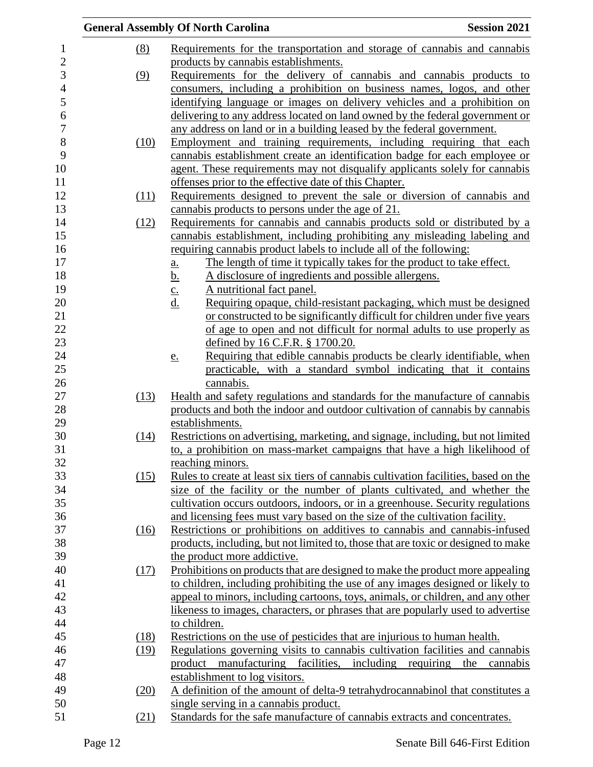|      | <b>General Assembly Of North Carolina</b>                                                                                                                  | <b>Session 2021</b> |
|------|------------------------------------------------------------------------------------------------------------------------------------------------------------|---------------------|
| (8)  | Requirements for the transportation and storage of cannabis and cannabis                                                                                   |                     |
|      | products by cannabis establishments.                                                                                                                       |                     |
| (9)  | Requirements for the delivery of cannabis and cannabis products to                                                                                         |                     |
|      | consumers, including a prohibition on business names, logos, and other                                                                                     |                     |
|      | identifying language or images on delivery vehicles and a prohibition on                                                                                   |                     |
|      | delivering to any address located on land owned by the federal government or                                                                               |                     |
|      | any address on land or in a building leased by the federal government.                                                                                     |                     |
| (10) | Employment and training requirements, including requiring that each                                                                                        |                     |
|      | cannabis establishment create an identification badge for each employee or                                                                                 |                     |
|      | agent. These requirements may not disqualify applicants solely for cannabis                                                                                |                     |
|      | offenses prior to the effective date of this Chapter.                                                                                                      |                     |
| (11) | Requirements designed to prevent the sale or diversion of cannabis and                                                                                     |                     |
|      | cannabis products to persons under the age of 21.                                                                                                          |                     |
| (12) | Requirements for cannabis and cannabis products sold or distributed by a                                                                                   |                     |
|      | cannabis establishment, including prohibiting any misleading labeling and                                                                                  |                     |
|      | requiring cannabis product labels to include all of the following:                                                                                         |                     |
|      |                                                                                                                                                            |                     |
|      | The length of time it typically takes for the product to take effect.<br>$\underline{\mathbf{a}}$ .<br>A disclosure of ingredients and possible allergens. |                     |
|      | <u>b.</u><br>A nutritional fact panel.                                                                                                                     |                     |
|      | $\underline{c}$ .                                                                                                                                          |                     |
|      | <u>d.</u><br>Requiring opaque, child-resistant packaging, which must be designed                                                                           |                     |
|      | or constructed to be significantly difficult for children under five years                                                                                 |                     |
|      | of age to open and not difficult for normal adults to use properly as                                                                                      |                     |
|      | defined by 16 C.F.R. § 1700.20.                                                                                                                            |                     |
|      | Requiring that edible cannabis products be clearly identifiable, when<br>e.                                                                                |                     |
|      | practicable, with a standard symbol indicating that it contains                                                                                            |                     |
|      | cannabis.                                                                                                                                                  |                     |
| (13) | Health and safety regulations and standards for the manufacture of cannabis                                                                                |                     |
|      | products and both the indoor and outdoor cultivation of cannabis by cannabis                                                                               |                     |
|      | establishments.                                                                                                                                            |                     |
| (14) | Restrictions on advertising, marketing, and signage, including, but not limited                                                                            |                     |
|      | to, a prohibition on mass-market campaigns that have a high likelihood of                                                                                  |                     |
|      | reaching minors.                                                                                                                                           |                     |
| (15) | Rules to create at least six tiers of cannabis cultivation facilities, based on the                                                                        |                     |
|      | size of the facility or the number of plants cultivated, and whether the                                                                                   |                     |
|      | cultivation occurs outdoors, indoors, or in a greenhouse. Security regulations                                                                             |                     |
|      | and licensing fees must vary based on the size of the cultivation facility.                                                                                |                     |
| (16) | Restrictions or prohibitions on additives to cannabis and cannabis-infused                                                                                 |                     |
|      | products, including, but not limited to, those that are toxic or designed to make                                                                          |                     |
|      | the product more addictive.                                                                                                                                |                     |
| (17) | Prohibitions on products that are designed to make the product more appealing                                                                              |                     |
|      | to children, including prohibiting the use of any images designed or likely to                                                                             |                     |
|      | appeal to minors, including cartoons, toys, animals, or children, and any other                                                                            |                     |
|      | likeness to images, characters, or phrases that are popularly used to advertise                                                                            |                     |
|      | to children.                                                                                                                                               |                     |
| (18) | Restrictions on the use of pesticides that are injurious to human health.                                                                                  |                     |
| (19) | Regulations governing visits to cannabis cultivation facilities and cannabis                                                                               |                     |
|      | product manufacturing<br>facilities,<br>including<br>requiring                                                                                             | the<br>cannabis     |
|      | establishment to log visitors.                                                                                                                             |                     |
| (20) | A definition of the amount of delta-9 tetrahydrocannabinol that constitutes a                                                                              |                     |
|      | single serving in a cannabis product.                                                                                                                      |                     |
| (21) | Standards for the safe manufacture of cannabis extracts and concentrates.                                                                                  |                     |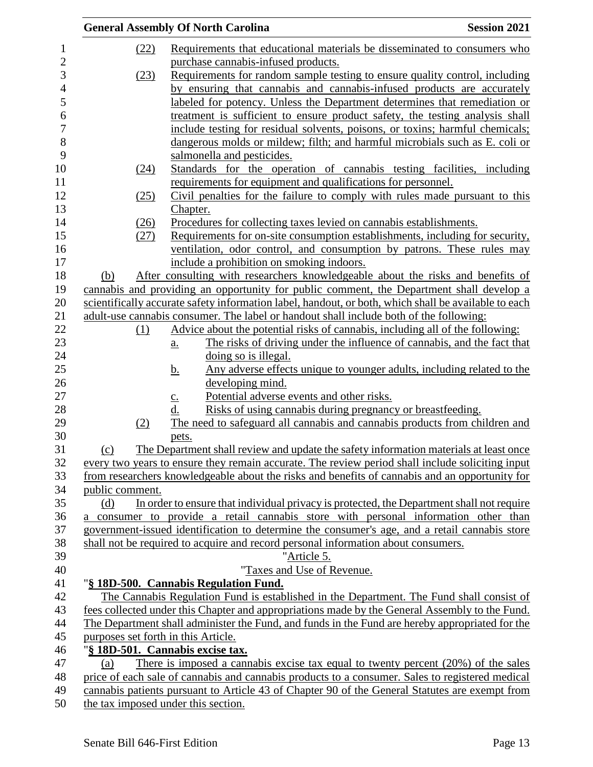|                 | <b>General Assembly Of North Carolina</b>                                                            | <b>Session 2021</b> |
|-----------------|------------------------------------------------------------------------------------------------------|---------------------|
| (22)            | Requirements that educational materials be disseminated to consumers who                             |                     |
|                 | purchase cannabis-infused products.                                                                  |                     |
| (23)            | Requirements for random sample testing to ensure quality control, including                          |                     |
|                 | by ensuring that cannabis and cannabis-infused products are accurately                               |                     |
|                 | labeled for potency. Unless the Department determines that remediation or                            |                     |
|                 |                                                                                                      |                     |
|                 | treatment is sufficient to ensure product safety, the testing analysis shall                         |                     |
|                 | include testing for residual solvents, poisons, or toxins; harmful chemicals;                        |                     |
|                 | dangerous molds or mildew; filth; and harmful microbials such as E. coli or                          |                     |
|                 | salmonella and pesticides.                                                                           |                     |
| (24)            | Standards for the operation of cannabis testing facilities, including                                |                     |
|                 | requirements for equipment and qualifications for personnel.                                         |                     |
| (25)            | Civil penalties for the failure to comply with rules made pursuant to this                           |                     |
|                 | Chapter.                                                                                             |                     |
| (26)            | Procedures for collecting taxes levied on cannabis establishments.                                   |                     |
| (27)            | Requirements for on-site consumption establishments, including for security,                         |                     |
|                 | ventilation, odor control, and consumption by patrons. These rules may                               |                     |
|                 | include a prohibition on smoking indoors.                                                            |                     |
| (b)             | After consulting with researchers knowledgeable about the risks and benefits of                      |                     |
|                 | cannabis and providing an opportunity for public comment, the Department shall develop a             |                     |
|                 | scientifically accurate safety information label, handout, or both, which shall be available to each |                     |
|                 | adult-use cannabis consumer. The label or handout shall include both of the following:               |                     |
| (1)             | Advice about the potential risks of cannabis, including all of the following:                        |                     |
|                 | The risks of driving under the influence of cannabis, and the fact that<br>$\underline{a}$ .         |                     |
|                 | doing so is illegal.                                                                                 |                     |
|                 | Any adverse effects unique to younger adults, including related to the<br><u>b.</u>                  |                     |
|                 | developing mind.                                                                                     |                     |
|                 | Potential adverse events and other risks.<br>$\underline{c}$ .                                       |                     |
|                 | d.<br>Risks of using cannabis during pregnancy or breastfeeding.                                     |                     |
| (2)             | The need to safeguard all cannabis and cannabis products from children and                           |                     |
|                 | pets.                                                                                                |                     |
| (c)             | The Department shall review and update the safety information materials at least once                |                     |
|                 | every two years to ensure they remain accurate. The review period shall include soliciting input     |                     |
|                 | from researchers knowledgeable about the risks and benefits of cannabis and an opportunity for       |                     |
| public comment. |                                                                                                      |                     |
| (d)             | In order to ensure that individual privacy is protected, the Department shall not require            |                     |
|                 | a consumer to provide a retail cannabis store with personal information other than                   |                     |
|                 | government-issued identification to determine the consumer's age, and a retail cannabis store        |                     |
|                 | shall not be required to acquire and record personal information about consumers.                    |                     |
|                 | "Article 5.                                                                                          |                     |
|                 | "Taxes and Use of Revenue.                                                                           |                     |
|                 | "§ 18D-500. Cannabis Regulation Fund.                                                                |                     |
|                 | The Cannabis Regulation Fund is established in the Department. The Fund shall consist of             |                     |
|                 | fees collected under this Chapter and appropriations made by the General Assembly to the Fund.       |                     |
|                 | The Department shall administer the Fund, and funds in the Fund are hereby appropriated for the      |                     |
|                 | purposes set forth in this Article.                                                                  |                     |
|                 | "§ 18D-501. Cannabis excise tax.                                                                     |                     |
| (a)             | There is imposed a cannabis excise tax equal to twenty percent $(20%)$ of the sales                  |                     |
|                 | price of each sale of cannabis and cannabis products to a consumer. Sales to registered medical      |                     |
|                 | cannabis patients pursuant to Article 43 of Chapter 90 of the General Statutes are exempt from       |                     |
|                 |                                                                                                      |                     |
|                 | the tax imposed under this section.                                                                  |                     |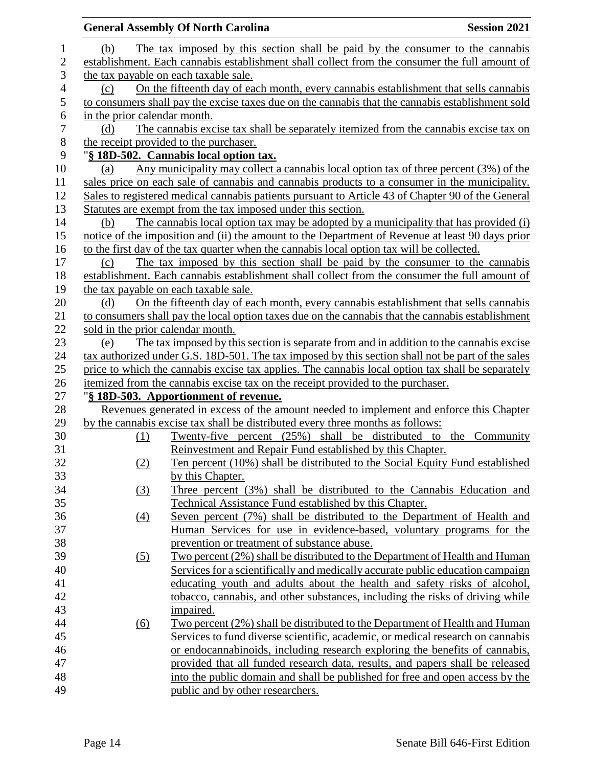|            | <b>General Assembly Of North Carolina</b><br><b>Session 2021</b>                                  |
|------------|---------------------------------------------------------------------------------------------------|
| (b)        | The tax imposed by this section shall be paid by the consumer to the cannabis                     |
|            | establishment. Each cannabis establishment shall collect from the consumer the full amount of     |
|            | the tax payable on each taxable sale.                                                             |
| (c)        | On the fifteenth day of each month, every cannabis establishment that sells cannabis              |
|            | to consumers shall pay the excise taxes due on the cannabis that the cannabis establishment sold  |
|            | in the prior calendar month.                                                                      |
| (d)        | The cannabis excise tax shall be separately itemized from the cannabis excise tax on              |
|            | the receipt provided to the purchaser.                                                            |
|            | "§ 18D-502. Cannabis local option tax.                                                            |
| (a)        | Any municipality may collect a cannabis local option tax of three percent (3%) of the             |
|            | sales price on each sale of cannabis and cannabis products to a consumer in the municipality.     |
|            | Sales to registered medical cannabis patients pursuant to Article 43 of Chapter 90 of the General |
|            | Statutes are exempt from the tax imposed under this section.                                      |
| (b)        | The cannabis local option tax may be adopted by a municipality that has provided (i)              |
|            | notice of the imposition and (ii) the amount to the Department of Revenue at least 90 days prior  |
|            | to the first day of the tax quarter when the cannabis local option tax will be collected.         |
| (c)        | The tax imposed by this section shall be paid by the consumer to the cannabis                     |
|            | establishment. Each cannabis establishment shall collect from the consumer the full amount of     |
|            | the tax payable on each taxable sale.                                                             |
| (d)        | On the fifteenth day of each month, every cannabis establishment that sells cannabis              |
|            | to consumers shall pay the local option taxes due on the cannabis that the cannabis establishment |
|            | sold in the prior calendar month.                                                                 |
| (e)        | The tax imposed by this section is separate from and in addition to the cannabis excise           |
|            | tax authorized under G.S. 18D-501. The tax imposed by this section shall not be part of the sales |
|            | price to which the cannabis excise tax applies. The cannabis local option tax shall be separately |
|            | itemized from the cannabis excise tax on the receipt provided to the purchaser.                   |
|            | "§ 18D-503. Apportionment of revenue.                                                             |
|            | Revenues generated in excess of the amount needed to implement and enforce this Chapter           |
|            | by the cannabis excise tax shall be distributed every three months as follows:                    |
| (1)        | Twenty-five percent (25%) shall be distributed to the Community                                   |
|            | Reinvestment and Repair Fund established by this Chapter.                                         |
| (2)        | Ten percent (10%) shall be distributed to the Social Equity Fund established                      |
|            | by this Chapter.                                                                                  |
| (3)        | Three percent (3%) shall be distributed to the Cannabis Education and                             |
|            | Technical Assistance Fund established by this Chapter.                                            |
| (4)        | Seven percent (7%) shall be distributed to the Department of Health and                           |
|            | Human Services for use in evidence-based, voluntary programs for the                              |
|            | prevention or treatment of substance abuse.                                                       |
|            | Two percent (2%) shall be distributed to the Department of Health and Human                       |
| <u>(5)</u> | Services for a scientifically and medically accurate public education campaign                    |
|            | educating youth and adults about the health and safety risks of alcohol,                          |
|            |                                                                                                   |
|            | tobacco, cannabis, and other substances, including the risks of driving while                     |
|            | impaired.                                                                                         |
| (6)        | Two percent (2%) shall be distributed to the Department of Health and Human                       |
|            | Services to fund diverse scientific, academic, or medical research on cannabis                    |
|            | or endocannabinoids, including research exploring the benefits of cannabis,                       |
|            | provided that all funded research data, results, and papers shall be released                     |
|            | into the public domain and shall be published for free and open access by the                     |
|            | public and by other researchers.                                                                  |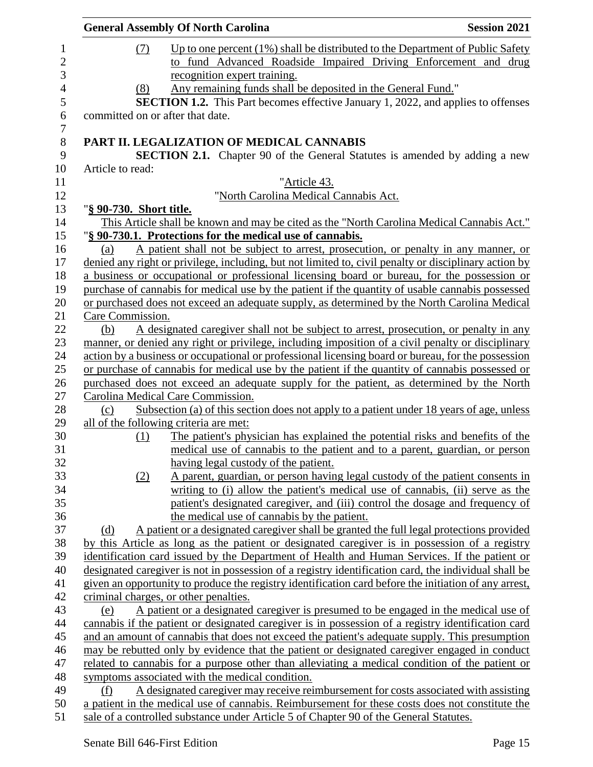|                         | <b>General Assembly Of North Carolina</b>                                                                                                                                                      | <b>Session 2021</b> |
|-------------------------|------------------------------------------------------------------------------------------------------------------------------------------------------------------------------------------------|---------------------|
| (7)                     | Up to one percent (1%) shall be distributed to the Department of Public Safety                                                                                                                 |                     |
|                         | to fund Advanced Roadside Impaired Driving Enforcement and drug                                                                                                                                |                     |
|                         | recognition expert training.                                                                                                                                                                   |                     |
| (8)                     | Any remaining funds shall be deposited in the General Fund."                                                                                                                                   |                     |
|                         | <b>SECTION 1.2.</b> This Part becomes effective January 1, 2022, and applies to offenses                                                                                                       |                     |
|                         | committed on or after that date.                                                                                                                                                               |                     |
|                         |                                                                                                                                                                                                |                     |
|                         | PART II. LEGALIZATION OF MEDICAL CANNABIS                                                                                                                                                      |                     |
|                         | <b>SECTION 2.1.</b> Chapter 90 of the General Statutes is amended by adding a new                                                                                                              |                     |
| Article to read:        |                                                                                                                                                                                                |                     |
|                         | "Article 43.                                                                                                                                                                                   |                     |
|                         | "North Carolina Medical Cannabis Act.                                                                                                                                                          |                     |
| "§ 90-730. Short title. |                                                                                                                                                                                                |                     |
|                         | This Article shall be known and may be cited as the "North Carolina Medical Cannabis Act."                                                                                                     |                     |
|                         | "§ 90-730.1. Protections for the medical use of cannabis.                                                                                                                                      |                     |
| (a)                     | A patient shall not be subject to arrest, prosecution, or penalty in any manner, or                                                                                                            |                     |
|                         | denied any right or privilege, including, but not limited to, civil penalty or disciplinary action by                                                                                          |                     |
|                         | a business or occupational or professional licensing board or bureau, for the possession or                                                                                                    |                     |
|                         | purchase of cannabis for medical use by the patient if the quantity of usable cannabis possessed                                                                                               |                     |
|                         | or purchased does not exceed an adequate supply, as determined by the North Carolina Medical                                                                                                   |                     |
| Care Commission.        |                                                                                                                                                                                                |                     |
| (b)                     | A designated caregiver shall not be subject to arrest, prosecution, or penalty in any                                                                                                          |                     |
|                         | manner, or denied any right or privilege, including imposition of a civil penalty or disciplinary                                                                                              |                     |
|                         | action by a business or occupational or professional licensing board or bureau, for the possession                                                                                             |                     |
|                         | or purchase of cannabis for medical use by the patient if the quantity of cannabis possessed or                                                                                                |                     |
|                         | purchased does not exceed an adequate supply for the patient, as determined by the North                                                                                                       |                     |
|                         | Carolina Medical Care Commission.                                                                                                                                                              |                     |
| (c)                     | Subsection (a) of this section does not apply to a patient under 18 years of age, unless                                                                                                       |                     |
|                         | all of the following criteria are met:                                                                                                                                                         |                     |
| (1)                     | The patient's physician has explained the potential risks and benefits of the                                                                                                                  |                     |
|                         | medical use of cannabis to the patient and to a parent, guardian, or person                                                                                                                    |                     |
|                         | having legal custody of the patient.                                                                                                                                                           |                     |
| (2)                     | A parent, guardian, or person having legal custody of the patient consents in                                                                                                                  |                     |
|                         | writing to (i) allow the patient's medical use of cannabis, (ii) serve as the                                                                                                                  |                     |
|                         | patient's designated caregiver, and (iii) control the dosage and frequency of                                                                                                                  |                     |
|                         | the medical use of cannabis by the patient.                                                                                                                                                    |                     |
| (d)                     | A patient or a designated caregiver shall be granted the full legal protections provided                                                                                                       |                     |
|                         | by this Article as long as the patient or designated caregiver is in possession of a registry                                                                                                  |                     |
|                         | identification card issued by the Department of Health and Human Services. If the patient or                                                                                                   |                     |
|                         | designated caregiver is not in possession of a registry identification card, the individual shall be                                                                                           |                     |
|                         | given an opportunity to produce the registry identification card before the initiation of any arrest,                                                                                          |                     |
|                         | criminal charges, or other penalties.                                                                                                                                                          |                     |
| (e)                     | A patient or a designated caregiver is presumed to be engaged in the medical use of                                                                                                            |                     |
|                         | cannabis if the patient or designated caregiver is in possession of a registry identification card                                                                                             |                     |
|                         | and an amount of cannabis that does not exceed the patient's adequate supply. This presumption                                                                                                 |                     |
|                         |                                                                                                                                                                                                |                     |
|                         | may be rebutted only by evidence that the patient or designated caregiver engaged in conduct<br>related to cannabis for a purpose other than alleviating a medical condition of the patient or |                     |
|                         |                                                                                                                                                                                                |                     |
|                         | symptoms associated with the medical condition.                                                                                                                                                |                     |
| (f)                     | A designated caregiver may receive reimbursement for costs associated with assisting                                                                                                           |                     |
|                         | a patient in the medical use of cannabis. Reimbursement for these costs does not constitute the                                                                                                |                     |
|                         | sale of a controlled substance under Article 5 of Chapter 90 of the General Statutes.                                                                                                          |                     |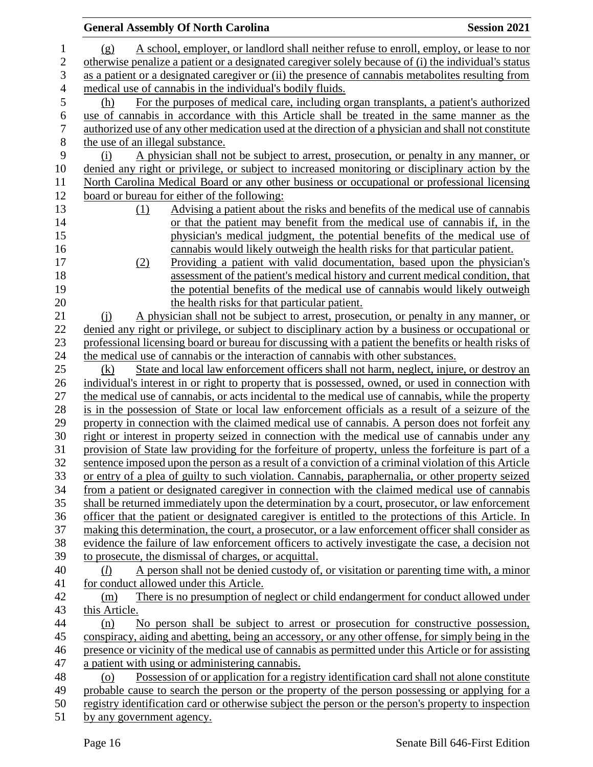|                | <b>General Assembly Of North Carolina</b>                  |                                                                                                      | <b>Session 2021</b> |
|----------------|------------------------------------------------------------|------------------------------------------------------------------------------------------------------|---------------------|
| 1              | (g)                                                        | A school, employer, or landlord shall neither refuse to enroll, employ, or lease to nor              |                     |
| $\overline{c}$ |                                                            | otherwise penalize a patient or a designated caregiver solely because of (i) the individual's status |                     |
| 3              |                                                            | as a patient or a designated caregiver or (ii) the presence of cannabis metabolities resulting from  |                     |
| 4              | medical use of cannabis in the individual's bodily fluids. |                                                                                                      |                     |
| $\mathfrak s$  | (h)                                                        | For the purposes of medical care, including organ transplants, a patient's authorized                |                     |
| 6              |                                                            | use of cannabis in accordance with this Article shall be treated in the same manner as the           |                     |
| 7              |                                                            | authorized use of any other medication used at the direction of a physician and shall not constitute |                     |
| $8\,$          | the use of an illegal substance.                           |                                                                                                      |                     |
| 9              | (i)                                                        | A physician shall not be subject to arrest, prosecution, or penalty in any manner, or                |                     |
| 10             |                                                            | denied any right or privilege, or subject to increased monitoring or disciplinary action by the      |                     |
| 11             |                                                            | North Carolina Medical Board or any other business or occupational or professional licensing         |                     |
| 12             | <u>board or bureau for either of the following:</u>        |                                                                                                      |                     |
| 13             | (1)                                                        | Advising a patient about the risks and benefits of the medical use of cannabis                       |                     |
| 14             |                                                            | or that the patient may benefit from the medical use of cannabis if, in the                          |                     |
| 15             |                                                            | physician's medical judgment, the potential benefits of the medical use of                           |                     |
| 16             |                                                            | cannabis would likely outweigh the health risks for that particular patient.                         |                     |
| 17             | (2)                                                        | Providing a patient with valid documentation, based upon the physician's                             |                     |
| 18             |                                                            | assessment of the patient's medical history and current medical condition, that                      |                     |
| 19             |                                                            | the potential benefits of the medical use of cannabis would likely outweigh                          |                     |
| 20             |                                                            | the health risks for that particular patient.                                                        |                     |
| 21             | (i)                                                        | A physician shall not be subject to arrest, prosecution, or penalty in any manner, or                |                     |
| 22             |                                                            | denied any right or privilege, or subject to disciplinary action by a business or occupational or    |                     |
| 23             |                                                            | professional licensing board or bureau for discussing with a patient the benefits or health risks of |                     |
| 24             |                                                            | the medical use of cannabis or the interaction of cannabis with other substances.                    |                     |
| 25             | (k)                                                        | State and local law enforcement officers shall not harm, neglect, injure, or destroy an              |                     |
| 26             |                                                            | individual's interest in or right to property that is possessed, owned, or used in connection with   |                     |
| 27             |                                                            | the medical use of cannabis, or acts incidental to the medical use of cannabis, while the property   |                     |
| 28             |                                                            | is in the possession of State or local law enforcement officials as a result of a seizure of the     |                     |
| 29             |                                                            | property in connection with the claimed medical use of cannabis. A person does not forfeit any       |                     |
| 30             |                                                            | right or interest in property seized in connection with the medical use of cannabis under any        |                     |
| 31             |                                                            | provision of State law providing for the forfeiture of property, unless the forfeiture is part of a  |                     |
| 32             |                                                            | sentence imposed upon the person as a result of a conviction of a criminal violation of this Article |                     |
| 33             |                                                            | or entry of a plea of guilty to such violation. Cannabis, paraphernalia, or other property seized    |                     |
| 34             |                                                            | from a patient or designated caregiver in connection with the claimed medical use of cannabis        |                     |
| 35             |                                                            | shall be returned immediately upon the determination by a court, prosecutor, or law enforcement      |                     |
| 36             |                                                            | officer that the patient or designated caregiver is entitled to the protections of this Article. In  |                     |
| 37             |                                                            | making this determination, the court, a prosecutor, or a law enforcement officer shall consider as   |                     |
| 38             |                                                            | evidence the failure of law enforcement officers to actively investigate the case, a decision not    |                     |
| 39             | to prosecute, the dismissal of charges, or acquittal.      |                                                                                                      |                     |
| 40             | (l)                                                        | A person shall not be denied custody of, or visitation or parenting time with, a minor               |                     |
| 41             | for conduct allowed under this Article.                    |                                                                                                      |                     |
| 42             | (m)                                                        | There is no presumption of neglect or child endangerment for conduct allowed under                   |                     |
| 43             | this Article.                                              |                                                                                                      |                     |
| 44             | (n)                                                        | No person shall be subject to arrest or prosecution for constructive possession,                     |                     |
| 45             |                                                            | conspiracy, aiding and abetting, being an accessory, or any other offense, for simply being in the   |                     |
| 46             |                                                            | presence or vicinity of the medical use of cannabis as permitted under this Article or for assisting |                     |
| 47             | a patient with using or administering cannabis.            |                                                                                                      |                     |
| 48             | $\left( 0 \right)$                                         | Possession of or application for a registry identification card shall not alone constitute           |                     |
| 49             |                                                            | probable cause to search the person or the property of the person possessing or applying for a       |                     |
| 50             |                                                            | registry identification card or otherwise subject the person or the person's property to inspection  |                     |
| 51             | by any government agency.                                  |                                                                                                      |                     |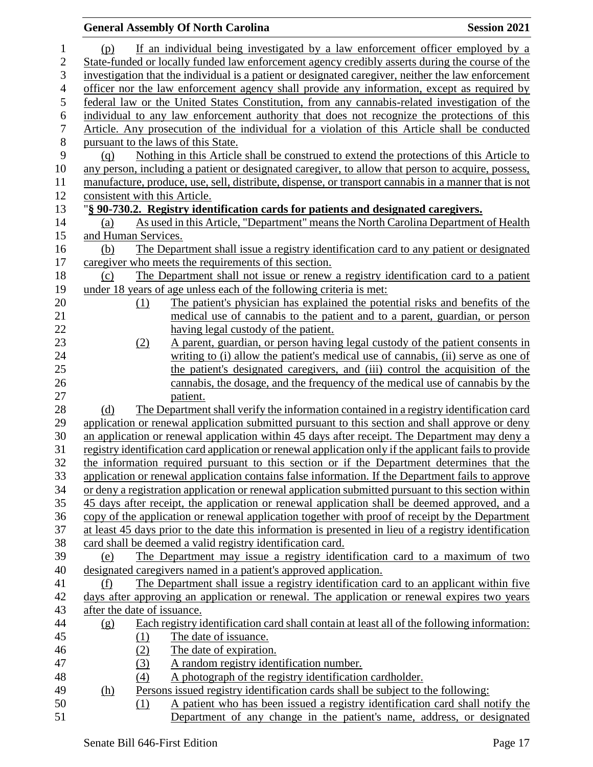## **General Assembly Of North Carolina Session 2021**  (p) If an individual being investigated by a law enforcement officer employed by a State-funded or locally funded law enforcement agency credibly asserts during the course of the investigation that the individual is a patient or designated caregiver, neither the law enforcement officer nor the law enforcement agency shall provide any information, except as required by federal law or the United States Constitution, from any cannabis-related investigation of the individual to any law enforcement authority that does not recognize the protections of this Article. Any prosecution of the individual for a violation of this Article shall be conducted pursuant to the laws of this State. (q) Nothing in this Article shall be construed to extend the protections of this Article to 10 any person, including a patient or designated caregiver, to allow that person to acquire, possess, manufacture, produce, use, sell, distribute, dispense, or transport cannabis in a manner that is not consistent with this Article. "**§ 90-730.2. Registry identification cards for patients and designated caregivers.** (a) As used in this Article, "Department" means the North Carolina Department of Health and Human Services. (b) The Department shall issue a registry identification card to any patient or designated caregiver who meets the requirements of this section. (c) The Department shall not issue or renew a registry identification card to a patient under 18 years of age unless each of the following criteria is met: (1) The patient's physician has explained the potential risks and benefits of the medical use of cannabis to the patient and to a parent, guardian, or person having legal custody of the patient. (2) A parent, guardian, or person having legal custody of the patient consents in writing to (i) allow the patient's medical use of cannabis, (ii) serve as one of the patient's designated caregivers, and (iii) control the acquisition of the cannabis, the dosage, and the frequency of the medical use of cannabis by the patient. (d) The Department shall verify the information contained in a registry identification card application or renewal application submitted pursuant to this section and shall approve or deny an application or renewal application within 45 days after receipt. The Department may deny a registry identification card application or renewal application only if the applicant fails to provide the information required pursuant to this section or if the Department determines that the application or renewal application contains false information. If the Department fails to approve or deny a registration application or renewal application submitted pursuant to this section within 45 days after receipt, the application or renewal application shall be deemed approved, and a copy of the application or renewal application together with proof of receipt by the Department at least 45 days prior to the date this information is presented in lieu of a registry identification card shall be deemed a valid registry identification card. (e) The Department may issue a registry identification card to a maximum of two designated caregivers named in a patient's approved application. (f) The Department shall issue a registry identification card to an applicant within five days after approving an application or renewal. The application or renewal expires two years after the date of issuance. (g) Each registry identification card shall contain at least all of the following information: (1) The date of issuance. (2) The date of expiration. (3) A random registry identification number. (4) A photograph of the registry identification cardholder. (h) Persons issued registry identification cards shall be subject to the following: (1) A patient who has been issued a registry identification card shall notify the Department of any change in the patient's name, address, or designated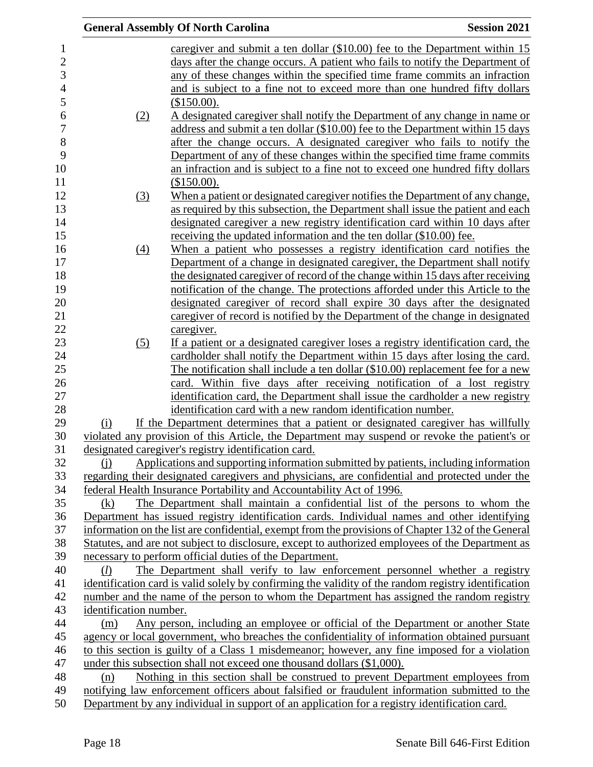|                        | <b>General Assembly Of North Carolina</b>                                                            | <b>Session 2021</b> |
|------------------------|------------------------------------------------------------------------------------------------------|---------------------|
|                        | caregiver and submit a ten dollar $(\$10.00)$ fee to the Department within 15                        |                     |
|                        | days after the change occurs. A patient who fails to notify the Department of                        |                     |
|                        | any of these changes within the specified time frame commits an infraction                           |                     |
|                        | and is subject to a fine not to exceed more than one hundred fifty dollars                           |                     |
|                        | (\$150.00).                                                                                          |                     |
|                        | A designated caregiver shall notify the Department of any change in name or                          |                     |
| (2)                    | address and submit a ten dollar (\$10.00) fee to the Department within 15 days                       |                     |
|                        |                                                                                                      |                     |
|                        | after the change occurs. A designated caregiver who fails to notify the                              |                     |
|                        | Department of any of these changes within the specified time frame commits                           |                     |
|                        | an infraction and is subject to a fine not to exceed one hundred fifty dollars                       |                     |
|                        | $($150.00)$ .                                                                                        |                     |
| (3)                    | When a patient or designated caregiver notifies the Department of any change,                        |                     |
|                        | as required by this subsection, the Department shall issue the patient and each                      |                     |
|                        | designated caregiver a new registry identification card within 10 days after                         |                     |
|                        | receiving the updated information and the ten dollar (\$10.00) fee.                                  |                     |
| (4)                    | When a patient who possesses a registry identification card notifies the                             |                     |
|                        | Department of a change in designated caregiver, the Department shall notify                          |                     |
|                        | the designated caregiver of record of the change within 15 days after receiving                      |                     |
|                        | notification of the change. The protections afforded under this Article to the                       |                     |
|                        | designated caregiver of record shall expire 30 days after the designated                             |                     |
|                        | caregiver of record is notified by the Department of the change in designated                        |                     |
|                        | caregiver.                                                                                           |                     |
| (5)                    | If a patient or a designated caregiver loses a registry identification card, the                     |                     |
|                        | cardholder shall notify the Department within 15 days after losing the card.                         |                     |
|                        | The notification shall include a ten dollar (\$10.00) replacement fee for a new                      |                     |
|                        | card. Within five days after receiving notification of a lost registry                               |                     |
|                        | identification card, the Department shall issue the cardholder a new registry                        |                     |
|                        | identification card with a new random identification number.                                         |                     |
| (i)                    | If the Department determines that a patient or designated caregiver has willfully                    |                     |
|                        | violated any provision of this Article, the Department may suspend or revoke the patient's or        |                     |
|                        | designated caregiver's registry identification card.                                                 |                     |
| (i)                    | Applications and supporting information submitted by patients, including information                 |                     |
|                        | regarding their designated caregivers and physicians, are confidential and protected under the       |                     |
|                        | federal Health Insurance Portability and Accountability Act of 1996.                                 |                     |
| (k)                    | The Department shall maintain a confidential list of the persons to whom the                         |                     |
|                        | Department has issued registry identification cards. Individual names and other identifying          |                     |
|                        | information on the list are confidential, exempt from the provisions of Chapter 132 of the General   |                     |
|                        | Statutes, and are not subject to disclosure, except to authorized employees of the Department as     |                     |
|                        | necessary to perform official duties of the Department.                                              |                     |
| (l)                    | The Department shall verify to law enforcement personnel whether a registry                          |                     |
|                        | identification card is valid solely by confirming the validity of the random registry identification |                     |
|                        | number and the name of the person to whom the Department has assigned the random registry            |                     |
| identification number. |                                                                                                      |                     |
| (m)                    | Any person, including an employee or official of the Department or another State                     |                     |
|                        | agency or local government, who breaches the confidentiality of information obtained pursuant        |                     |
|                        | to this section is guilty of a Class 1 misdemeanor; however, any fine imposed for a violation        |                     |
|                        | under this subsection shall not exceed one thousand dollars (\$1,000).                               |                     |
| (n)                    | Nothing in this section shall be construed to prevent Department employees from                      |                     |
|                        | notifying law enforcement officers about falsified or fraudulent information submitted to the        |                     |
|                        | Department by any individual in support of an application for a registry identification card.        |                     |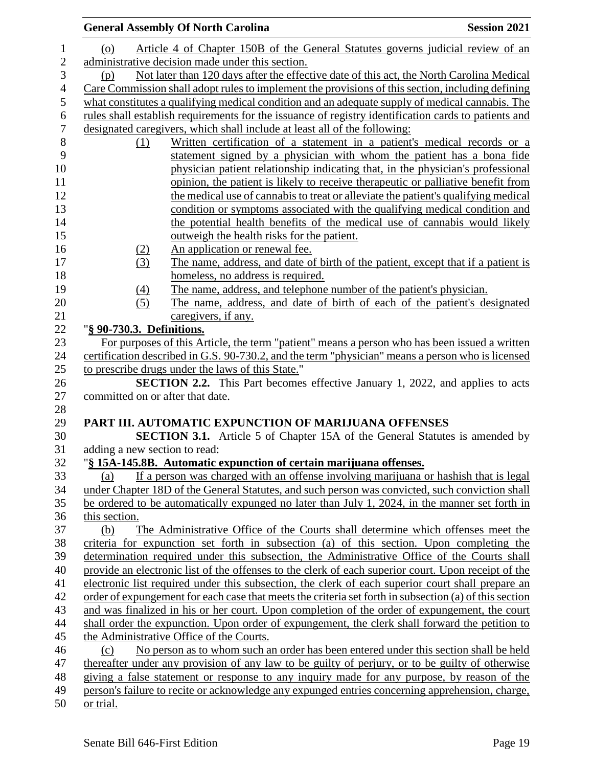|                  | <b>General Assembly Of North Carolina</b>                                                                                                                         | <b>Session 2021</b> |
|------------------|-------------------------------------------------------------------------------------------------------------------------------------------------------------------|---------------------|
| 1                | Article 4 of Chapter 150B of the General Statutes governs judicial review of an<br>$\left( 0 \right)$                                                             |                     |
| $\boldsymbol{2}$ | administrative decision made under this section.                                                                                                                  |                     |
| 3                | Not later than 120 days after the effective date of this act, the North Carolina Medical<br>(p)                                                                   |                     |
| $\overline{4}$   | Care Commission shall adopt rules to implement the provisions of this section, including defining                                                                 |                     |
| 5                | what constitutes a qualifying medical condition and an adequate supply of medical cannabis. The                                                                   |                     |
| 6                | rules shall establish requirements for the issuance of registry identification cards to patients and                                                              |                     |
| $\tau$           | designated caregivers, which shall include at least all of the following:                                                                                         |                     |
| 8                | Written certification of a statement in a patient's medical records or a<br>(1)                                                                                   |                     |
| 9                | statement signed by a physician with whom the patient has a bona fide                                                                                             |                     |
| 10               | physician patient relationship indicating that, in the physician's professional                                                                                   |                     |
| 11               | opinion, the patient is likely to receive therapeutic or palliative benefit from                                                                                  |                     |
| 12               | the medical use of cannabis to treat or alleviate the patient's qualifying medical                                                                                |                     |
| 13               | condition or symptoms associated with the qualifying medical condition and                                                                                        |                     |
| 14               | the potential health benefits of the medical use of cannabis would likely                                                                                         |                     |
| 15               | outweigh the health risks for the patient.                                                                                                                        |                     |
| 16               | An application or renewal fee.<br>(2)                                                                                                                             |                     |
| 17               | (3)<br>The name, address, and date of birth of the patient, except that if a patient is                                                                           |                     |
| 18               | homeless, no address is required.                                                                                                                                 |                     |
| 19               | The name, address, and telephone number of the patient's physician.<br>(4)                                                                                        |                     |
| 20               | (5)<br>The name, address, and date of birth of each of the patient's designated                                                                                   |                     |
| 21               | caregivers, if any.                                                                                                                                               |                     |
| 22               | "§ 90-730.3. Definitions.                                                                                                                                         |                     |
| 23               | For purposes of this Article, the term "patient" means a person who has been issued a written                                                                     |                     |
| 24               | certification described in G.S. 90-730.2, and the term "physician" means a person who is licensed                                                                 |                     |
| 25               | to prescribe drugs under the laws of this State."                                                                                                                 |                     |
| 26               | <b>SECTION 2.2.</b> This Part becomes effective January 1, 2022, and applies to acts                                                                              |                     |
| 27               | committed on or after that date.                                                                                                                                  |                     |
| 28               |                                                                                                                                                                   |                     |
| 29               | PART III. AUTOMATIC EXPUNCTION OF MARIJUANA OFFENSES                                                                                                              |                     |
| 30               | <b>SECTION 3.1.</b> Article 5 of Chapter 15A of the General Statutes is amended by                                                                                |                     |
| 31               | adding a new section to read:                                                                                                                                     |                     |
| 32<br>33         | "§ 15A-145.8B. Automatic expunction of certain marijuana offenses.<br>If a person was charged with an offense involving marijuana or hashish that is legal<br>(a) |                     |
| 34               | under Chapter 18D of the General Statutes, and such person was convicted, such conviction shall                                                                   |                     |
| 35               | be ordered to be automatically expunged no later than July 1, 2024, in the manner set forth in                                                                    |                     |
| 36               | this section.                                                                                                                                                     |                     |
| 37               | The Administrative Office of the Courts shall determine which offenses meet the<br>(b)                                                                            |                     |
| 38               | criteria for expunction set forth in subsection (a) of this section. Upon completing the                                                                          |                     |
| 39               | determination required under this subsection, the Administrative Office of the Courts shall                                                                       |                     |
| 40               | provide an electronic list of the offenses to the clerk of each superior court. Upon receipt of the                                                               |                     |
| 41               | electronic list required under this subsection, the clerk of each superior court shall prepare an                                                                 |                     |
| 42               | order of expungement for each case that meets the criteria set forth in subsection (a) of this section                                                            |                     |
| 43               | and was finalized in his or her court. Upon completion of the order of expungement, the court                                                                     |                     |
| 44               | shall order the expunction. Upon order of expungement, the clerk shall forward the petition to                                                                    |                     |
| 45               | the Administrative Office of the Courts.                                                                                                                          |                     |
| 46               | No person as to whom such an order has been entered under this section shall be held<br>(c)                                                                       |                     |
| 47               | thereafter under any provision of any law to be guilty of perjury, or to be guilty of otherwise                                                                   |                     |
| 48               | giving a false statement or response to any inquiry made for any purpose, by reason of the                                                                        |                     |
| 49               | person's failure to recite or acknowledge any expunged entries concerning apprehension, charge,                                                                   |                     |
| 50               | or trial.                                                                                                                                                         |                     |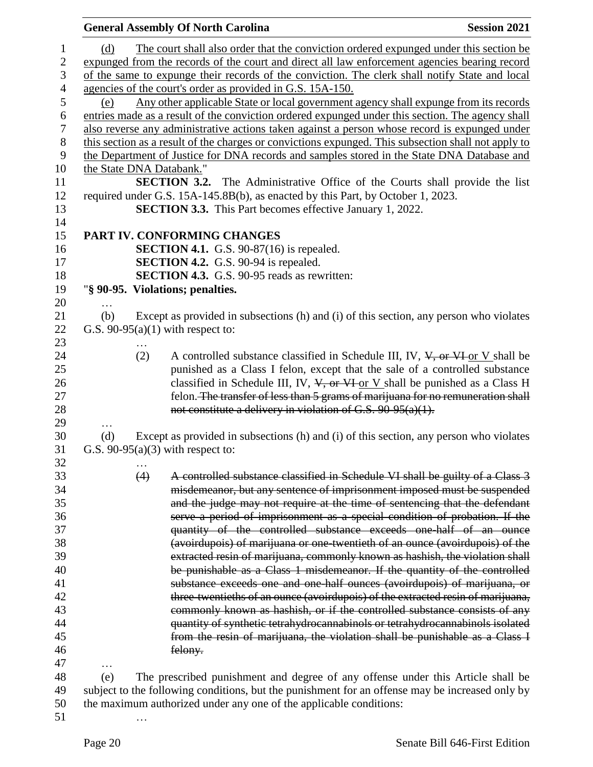|                  |           |                 | <b>General Assembly Of North Carolina</b>                                                                                     | <b>Session 2021</b> |
|------------------|-----------|-----------------|-------------------------------------------------------------------------------------------------------------------------------|---------------------|
| 1                | (d)       |                 | The court shall also order that the conviction ordered expunged under this section be                                         |                     |
| $\boldsymbol{2}$ |           |                 | expunged from the records of the court and direct all law enforcement agencies bearing record                                 |                     |
| $\mathfrak{Z}$   |           |                 | of the same to expunge their records of the conviction. The clerk shall notify State and local                                |                     |
| $\overline{4}$   |           |                 | agencies of the court's order as provided in G.S. 15A-150.                                                                    |                     |
| 5                | (e)       |                 | Any other applicable State or local government agency shall expunge from its records                                          |                     |
| 6                |           |                 | entries made as a result of the conviction ordered expunged under this section. The agency shall                              |                     |
| $\tau$           |           |                 | also reverse any administrative actions taken against a person whose record is expunged under                                 |                     |
| $8\,$            |           |                 | this section as a result of the charges or convictions expunged. This subsection shall not apply to                           |                     |
| 9                |           |                 | the Department of Justice for DNA records and samples stored in the State DNA Database and                                    |                     |
| 10               |           |                 | the State DNA Databank."                                                                                                      |                     |
| 11               |           |                 | <b>SECTION 3.2.</b> The Administrative Office of the Courts shall provide the list                                            |                     |
| 12               |           |                 | required under G.S. 15A-145.8B(b), as enacted by this Part, by October 1, 2023.                                               |                     |
| 13               |           |                 | <b>SECTION 3.3.</b> This Part becomes effective January 1, 2022.                                                              |                     |
| 14               |           |                 |                                                                                                                               |                     |
| 15               |           |                 | PART IV. CONFORMING CHANGES                                                                                                   |                     |
| 16               |           |                 | <b>SECTION 4.1.</b> G.S. 90-87(16) is repealed.                                                                               |                     |
| 17               |           |                 | <b>SECTION 4.2.</b> G.S. 90-94 is repealed.                                                                                   |                     |
| 18               |           |                 | <b>SECTION 4.3.</b> G.S. 90-95 reads as rewritten:                                                                            |                     |
| 19               |           |                 | "§ 90-95. Violations; penalties.                                                                                              |                     |
| 20               |           |                 |                                                                                                                               |                     |
| 21               | (b)       |                 | Except as provided in subsections (h) and (i) of this section, any person who violates                                        |                     |
| 22               |           |                 | G.S. $90-95(a)(1)$ with respect to:                                                                                           |                     |
| 23               |           |                 |                                                                                                                               |                     |
| 24               |           | (2)             | A controlled substance classified in Schedule III, IV, $V$ , or $V$ or V shall be                                             |                     |
| 25               |           |                 | punished as a Class I felon, except that the sale of a controlled substance                                                   |                     |
| 26               |           |                 | classified in Schedule III, IV, V, or VI or V shall be punished as a Class H                                                  |                     |
| 27               |           |                 | felon. The transfer of less than 5 grams of marijuana for no remuneration shall                                               |                     |
| 28               |           |                 | not constitute a delivery in violation of G.S. 90-95(a)(1).                                                                   |                     |
| 29<br>30         | $\ddotsc$ |                 |                                                                                                                               |                     |
| 31               | (d)       |                 | Except as provided in subsections (h) and (i) of this section, any person who violates<br>G.S. $90-95(a)(3)$ with respect to: |                     |
| 32               |           |                 |                                                                                                                               |                     |
| 33               |           | $\cdots$<br>(4) | A controlled substance classified in Schedule VI shall be guilty of a Class 3                                                 |                     |
| 34               |           |                 | misdemeanor, but any sentence of imprisonment imposed must be suspended                                                       |                     |
| 35               |           |                 | and the judge may not require at the time of sentencing that the defendant                                                    |                     |
| 36               |           |                 | serve a period of imprisonment as a special condition of probation. If the                                                    |                     |
| 37               |           |                 | quantity of the controlled substance exceeds one half of an ounce                                                             |                     |
| 38               |           |                 | (avoirdupois) of marijuana or one twentieth of an ounce (avoirdupois) of the                                                  |                     |
| 39               |           |                 | extracted resin of marijuana, commonly known as hashish, the violation shall                                                  |                     |
| 40               |           |                 | be punishable as a Class 1 misdemeanor. If the quantity of the controlled                                                     |                     |
| 41               |           |                 | substance exceeds one and one-half ounces (avoirdupois) of marijuana, or                                                      |                     |
| 42               |           |                 | three twentieths of an ounce (avoirdupois) of the extracted resin of marijuana,                                               |                     |
| 43               |           |                 | commonly known as hashish, or if the controlled substance consists of any                                                     |                     |
| 44               |           |                 | quantity of synthetic tetrahydrocannabinols or tetrahydrocannabinols isolated                                                 |                     |
| 45               |           |                 | from the resin of marijuana, the violation shall be punishable as a Class I                                                   |                     |
| 46               |           |                 | felony.                                                                                                                       |                     |
| 47               |           |                 |                                                                                                                               |                     |
| 48               | (e)       |                 | The prescribed punishment and degree of any offense under this Article shall be                                               |                     |
| 49               |           |                 | subject to the following conditions, but the punishment for an offense may be increased only by                               |                     |
| 50               |           |                 | the maximum authorized under any one of the applicable conditions:                                                            |                     |

…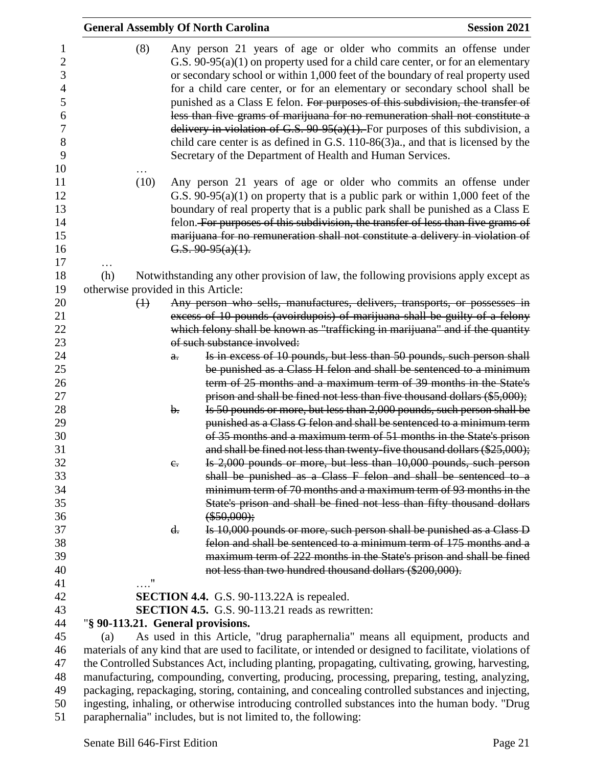|     |                   |                | <b>General Assembly Of North Carolina</b>                                                                                                                                                                                                                                                                                                                                                                                                                                                                                                                                                                                                                                                                                        | <b>Session 2021</b> |
|-----|-------------------|----------------|----------------------------------------------------------------------------------------------------------------------------------------------------------------------------------------------------------------------------------------------------------------------------------------------------------------------------------------------------------------------------------------------------------------------------------------------------------------------------------------------------------------------------------------------------------------------------------------------------------------------------------------------------------------------------------------------------------------------------------|---------------------|
|     | (8)               |                | Any person 21 years of age or older who commits an offense under<br>G.S. $90-95(a)(1)$ on property used for a child care center, or for an elementary<br>or secondary school or within 1,000 feet of the boundary of real property used<br>for a child care center, or for an elementary or secondary school shall be<br>punished as a Class E felon. For purposes of this subdivision, the transfer of<br>less than five grams of marijuana for no remuneration shall not constitute a<br>delivery in violation of G.S. $90\,95(a)(1)$ . For purposes of this subdivision, a<br>child care center is as defined in G.S. $110-86(3)a$ , and that is licensed by the<br>Secretary of the Department of Health and Human Services. |                     |
|     | (10)              |                | Any person 21 years of age or older who commits an offense under<br>G.S. $90-95(a)(1)$ on property that is a public park or within 1,000 feet of the<br>boundary of real property that is a public park shall be punished as a Class E<br>felon. For purposes of this subdivision, the transfer of less than five grams of<br>marijuana for no remuneration shall not constitute a delivery in violation of<br>$G.S. 90-95(a)(1)$ .                                                                                                                                                                                                                                                                                              |                     |
| (h) |                   |                | Notwithstanding any other provision of law, the following provisions apply except as                                                                                                                                                                                                                                                                                                                                                                                                                                                                                                                                                                                                                                             |                     |
|     |                   |                | otherwise provided in this Article:                                                                                                                                                                                                                                                                                                                                                                                                                                                                                                                                                                                                                                                                                              |                     |
|     | $\leftrightarrow$ |                | Any person who sells, manufactures, delivers, transports, or possesses in                                                                                                                                                                                                                                                                                                                                                                                                                                                                                                                                                                                                                                                        |                     |
|     |                   |                | excess of 10 pounds (avoirdupois) of marijuana shall be guilty of a felony                                                                                                                                                                                                                                                                                                                                                                                                                                                                                                                                                                                                                                                       |                     |
|     |                   |                | which felony shall be known as "trafficking in marijuana" and if the quantity                                                                                                                                                                                                                                                                                                                                                                                                                                                                                                                                                                                                                                                    |                     |
|     |                   |                | of such substance involved:                                                                                                                                                                                                                                                                                                                                                                                                                                                                                                                                                                                                                                                                                                      |                     |
|     |                   | $\theta$ .     | Is in excess of 10 pounds, but less than 50 pounds, such person shall                                                                                                                                                                                                                                                                                                                                                                                                                                                                                                                                                                                                                                                            |                     |
|     |                   |                | be punished as a Class H felon and shall be sentenced to a minimum                                                                                                                                                                                                                                                                                                                                                                                                                                                                                                                                                                                                                                                               |                     |
|     |                   |                | term of 25 months and a maximum term of 39 months in the State's                                                                                                                                                                                                                                                                                                                                                                                                                                                                                                                                                                                                                                                                 |                     |
|     |                   |                | prison and shall be fined not less than five thousand dollars (\$5,000);                                                                                                                                                                                                                                                                                                                                                                                                                                                                                                                                                                                                                                                         |                     |
|     |                   | $\mathbf{b}$ . | Is 50 pounds or more, but less than 2,000 pounds, such person shall be                                                                                                                                                                                                                                                                                                                                                                                                                                                                                                                                                                                                                                                           |                     |
|     |                   |                | punished as a Class G felon and shall be sentenced to a minimum term                                                                                                                                                                                                                                                                                                                                                                                                                                                                                                                                                                                                                                                             |                     |
|     |                   |                | of 35 months and a maximum term of 51 months in the State's prison                                                                                                                                                                                                                                                                                                                                                                                                                                                                                                                                                                                                                                                               |                     |
|     |                   |                | and shall be fined not less than twenty-five thousand dollars (\$25,000);                                                                                                                                                                                                                                                                                                                                                                                                                                                                                                                                                                                                                                                        |                     |
|     |                   | $e_{i}$        | Is 2,000 pounds or more, but less than 10,000 pounds, such person                                                                                                                                                                                                                                                                                                                                                                                                                                                                                                                                                                                                                                                                |                     |
|     |                   |                | shall be punished as a Class F felon and shall be sentenced to a                                                                                                                                                                                                                                                                                                                                                                                                                                                                                                                                                                                                                                                                 |                     |
|     |                   |                | minimum term of 70 months and a maximum term of 93 months in the                                                                                                                                                                                                                                                                                                                                                                                                                                                                                                                                                                                                                                                                 |                     |
|     |                   |                | State's prison and shall be fined not less than fifty thousand dollars<br>$(*550,000);$                                                                                                                                                                                                                                                                                                                                                                                                                                                                                                                                                                                                                                          |                     |
|     |                   | d.             | Is 10,000 pounds or more, such person shall be punished as a Class D                                                                                                                                                                                                                                                                                                                                                                                                                                                                                                                                                                                                                                                             |                     |
|     |                   |                | felon and shall be sentenced to a minimum term of 175 months and a                                                                                                                                                                                                                                                                                                                                                                                                                                                                                                                                                                                                                                                               |                     |
|     |                   |                | maximum term of 222 months in the State's prison and shall be fined                                                                                                                                                                                                                                                                                                                                                                                                                                                                                                                                                                                                                                                              |                     |
|     |                   |                | not less than two hundred thousand dollars (\$200,000).                                                                                                                                                                                                                                                                                                                                                                                                                                                                                                                                                                                                                                                                          |                     |
|     | $\ldots$ "        |                |                                                                                                                                                                                                                                                                                                                                                                                                                                                                                                                                                                                                                                                                                                                                  |                     |
|     |                   |                | <b>SECTION 4.4.</b> G.S. 90-113.22A is repealed.                                                                                                                                                                                                                                                                                                                                                                                                                                                                                                                                                                                                                                                                                 |                     |
|     |                   |                | <b>SECTION 4.5.</b> G.S. 90-113.21 reads as rewritten:                                                                                                                                                                                                                                                                                                                                                                                                                                                                                                                                                                                                                                                                           |                     |
|     |                   |                | "§ 90-113.21. General provisions.                                                                                                                                                                                                                                                                                                                                                                                                                                                                                                                                                                                                                                                                                                |                     |
| (a) |                   |                | As used in this Article, "drug paraphernalia" means all equipment, products and                                                                                                                                                                                                                                                                                                                                                                                                                                                                                                                                                                                                                                                  |                     |
|     |                   |                | materials of any kind that are used to facilitate, or intended or designed to facilitate, violations of                                                                                                                                                                                                                                                                                                                                                                                                                                                                                                                                                                                                                          |                     |
|     |                   |                | the Controlled Substances Act, including planting, propagating, cultivating, growing, harvesting,                                                                                                                                                                                                                                                                                                                                                                                                                                                                                                                                                                                                                                |                     |
|     |                   |                | manufacturing, compounding, converting, producing, processing, preparing, testing, analyzing,                                                                                                                                                                                                                                                                                                                                                                                                                                                                                                                                                                                                                                    |                     |
|     |                   |                | packaging, repackaging, storing, containing, and concealing controlled substances and injecting,                                                                                                                                                                                                                                                                                                                                                                                                                                                                                                                                                                                                                                 |                     |
|     |                   |                | ingesting, inhaling, or otherwise introducing controlled substances into the human body. "Drug                                                                                                                                                                                                                                                                                                                                                                                                                                                                                                                                                                                                                                   |                     |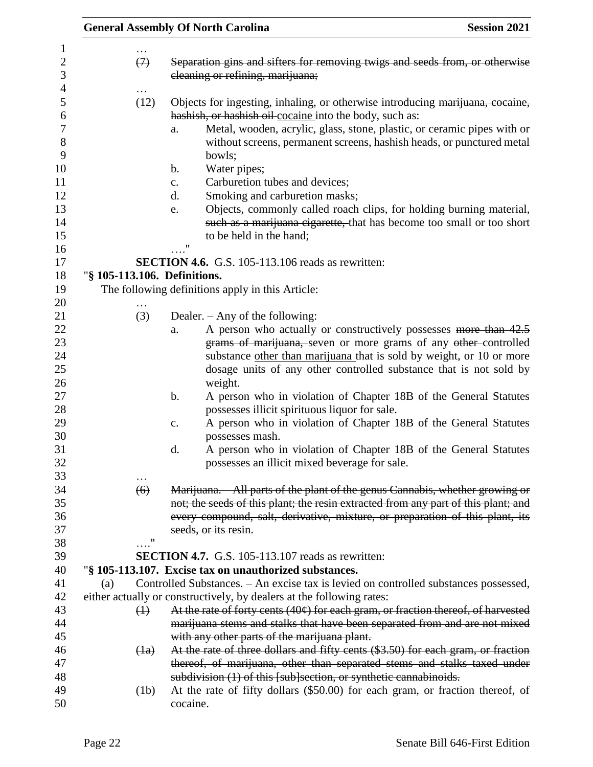|     |                            | <b>General Assembly Of North Carolina</b><br><b>Session 2021</b>                                                                   |
|-----|----------------------------|------------------------------------------------------------------------------------------------------------------------------------|
|     | .                          |                                                                                                                                    |
|     | $\leftrightarrow$          | Separation gins and sifters for removing twigs and seeds from, or otherwise                                                        |
|     |                            | cleaning or refining, marijuana;                                                                                                   |
|     | $\cdots$<br>(12)           | Objects for ingesting, inhaling, or otherwise introducing marijuana, cocaine,                                                      |
|     |                            | hashish, or hashish oil cocaine into the body, such as:                                                                            |
|     |                            | Metal, wooden, acrylic, glass, stone, plastic, or ceramic pipes with or<br>a.                                                      |
|     |                            | without screens, permanent screens, hashish heads, or punctured metal<br>bowls;                                                    |
|     |                            | Water pipes;<br>$\mathbf b$ .                                                                                                      |
|     |                            | Carburetion tubes and devices;<br>$C_{\bullet}$                                                                                    |
|     |                            | Smoking and carburetion masks;<br>$\mathbf{d}$ .                                                                                   |
|     |                            | Objects, commonly called roach clips, for holding burning material,<br>e.                                                          |
|     |                            | such as a marijuana cigarette, that has become too small or too short<br>to be held in the hand;                                   |
|     |                            | -11                                                                                                                                |
|     |                            | <b>SECTION 4.6.</b> G.S. 105-113.106 reads as rewritten:                                                                           |
|     |                            | "§ 105-113.106. Definitions.                                                                                                       |
|     |                            | The following definitions apply in this Article:                                                                                   |
|     |                            |                                                                                                                                    |
|     | (3)                        | Dealer. $-$ Any of the following:                                                                                                  |
|     |                            | A person who actually or constructively possesses more than 42.5<br>a.                                                             |
|     |                            | grams of marijuana, seven or more grams of any other-controlled                                                                    |
|     |                            | substance other than marijuana that is sold by weight, or 10 or more                                                               |
|     |                            | dosage units of any other controlled substance that is not sold by                                                                 |
|     |                            | weight.                                                                                                                            |
|     |                            | A person who in violation of Chapter 18B of the General Statutes<br>b.                                                             |
|     |                            | possesses illicit spirituous liquor for sale.<br>A person who in violation of Chapter 18B of the General Statutes<br>$C_{\bullet}$ |
|     |                            | possesses mash.                                                                                                                    |
|     |                            | A person who in violation of Chapter 18B of the General Statutes<br>d.                                                             |
|     |                            | possesses an illicit mixed beverage for sale.                                                                                      |
|     |                            |                                                                                                                                    |
|     | $\left(6\right)$           | Marijuana. All parts of the plant of the genus Cannabis, whether growing or                                                        |
|     |                            | not; the seeds of this plant; the resin extracted from any part of this plant; and                                                 |
|     |                            | every compound, salt, derivative, mixture, or preparation of this plant, its                                                       |
|     |                            | seeds, or its resin.                                                                                                               |
|     | "                          |                                                                                                                                    |
|     |                            | <b>SECTION 4.7.</b> G.S. 105-113.107 reads as rewritten:                                                                           |
|     |                            | "§ 105-113.107. Excise tax on unauthorized substances.                                                                             |
| (a) |                            | Controlled Substances. – An excise tax is levied on controlled substances possessed,                                               |
|     |                            | either actually or constructively, by dealers at the following rates:                                                              |
|     | $\leftrightarrow$          | At the rate of forty cents $(40¢)$ for each gram, or fraction thereof, of harvested                                                |
|     |                            | marijuana stems and stalks that have been separated from and are not mixed                                                         |
|     |                            | with any other parts of the marijuana plant.                                                                                       |
|     | $\left(\frac{1}{a}\right)$ | At the rate of three dollars and fifty cents (\$3.50) for each gram, or fraction                                                   |
|     |                            | thereof, of marijuana, other than separated stems and stalks taxed under                                                           |
|     |                            | subdivision (1) of this [sub] section, or synthetic cannabinoids.                                                                  |
|     | (1b)                       | At the rate of fifty dollars (\$50.00) for each gram, or fraction thereof, of                                                      |
|     |                            | cocaine.                                                                                                                           |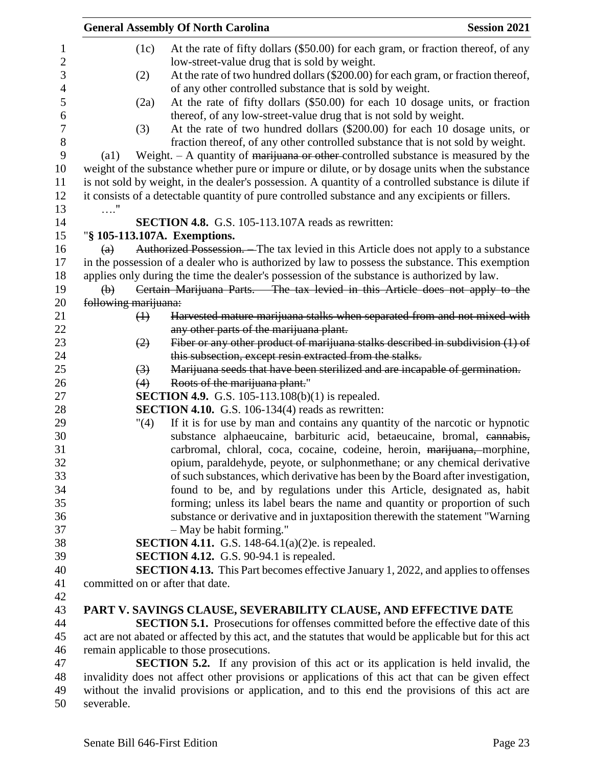|                  |                                                                                               | <b>General Assembly Of North Carolina</b>                                                                                                   | <b>Session 2021</b> |  |  |  |
|------------------|-----------------------------------------------------------------------------------------------|---------------------------------------------------------------------------------------------------------------------------------------------|---------------------|--|--|--|
| $\mathbf{1}$     | (1c)                                                                                          | At the rate of fifty dollars (\$50.00) for each gram, or fraction thereof, of any                                                           |                     |  |  |  |
| $\boldsymbol{2}$ |                                                                                               | low-street-value drug that is sold by weight.                                                                                               |                     |  |  |  |
| 3                | (2)                                                                                           | At the rate of two hundred dollars (\$200.00) for each gram, or fraction thereof,                                                           |                     |  |  |  |
| $\overline{4}$   |                                                                                               | of any other controlled substance that is sold by weight.                                                                                   |                     |  |  |  |
| 5                | (2a)                                                                                          | At the rate of fifty dollars (\$50.00) for each 10 dosage units, or fraction                                                                |                     |  |  |  |
| 6                |                                                                                               | thereof, of any low-street-value drug that is not sold by weight.                                                                           |                     |  |  |  |
| $\boldsymbol{7}$ | (3)                                                                                           | At the rate of two hundred dollars (\$200.00) for each 10 dosage units, or                                                                  |                     |  |  |  |
| 8                |                                                                                               | fraction thereof, of any other controlled substance that is not sold by weight.                                                             |                     |  |  |  |
| 9                | $\left( a1\right)$                                                                            | Weight. $- A$ quantity of marijuana or other-controlled substance is measured by the                                                        |                     |  |  |  |
| 10               |                                                                                               | weight of the substance whether pure or impure or dilute, or by dosage units when the substance                                             |                     |  |  |  |
| 11               |                                                                                               | is not sold by weight, in the dealer's possession. A quantity of a controlled substance is dilute if                                        |                     |  |  |  |
| 12               |                                                                                               | it consists of a detectable quantity of pure controlled substance and any excipients or fillers.                                            |                     |  |  |  |
| 13               | . "                                                                                           |                                                                                                                                             |                     |  |  |  |
| 14               |                                                                                               | <b>SECTION 4.8.</b> G.S. 105-113.107A reads as rewritten:                                                                                   |                     |  |  |  |
| 15               |                                                                                               | "§ 105-113.107A. Exemptions.                                                                                                                |                     |  |  |  |
| 16               | $\left( a\right)$                                                                             | Authorized Possession. The tax levied in this Article does not apply to a substance                                                         |                     |  |  |  |
| 17               |                                                                                               | in the possession of a dealer who is authorized by law to possess the substance. This exemption                                             |                     |  |  |  |
| 18               |                                                                                               | applies only during the time the dealer's possession of the substance is authorized by law.                                                 |                     |  |  |  |
| 19               | $\Theta$                                                                                      | Certain Marijuana Parts. - The tax levied in this Article does not apply to the                                                             |                     |  |  |  |
| 20               | following marijuana:                                                                          |                                                                                                                                             |                     |  |  |  |
| 21               | $\leftrightarrow$                                                                             | Harvested mature marijuana stalks when separated from and not mixed with                                                                    |                     |  |  |  |
| 22               |                                                                                               | any other parts of the marijuana plant.                                                                                                     |                     |  |  |  |
| 23               | (2)                                                                                           | Fiber or any other product of marijuana stalks described in subdivision (1) of                                                              |                     |  |  |  |
| 24               |                                                                                               | this subsection, except resin extracted from the stalks.                                                                                    |                     |  |  |  |
| 25               | $\left(3\right)$                                                                              | Marijuana seeds that have been sterilized and are incapable of germination.                                                                 |                     |  |  |  |
| 26               | (4)                                                                                           | Roots of the marijuana plant."                                                                                                              |                     |  |  |  |
| 27               |                                                                                               | <b>SECTION 4.9.</b> G.S. 105-113.108(b)(1) is repealed.                                                                                     |                     |  |  |  |
| 28               |                                                                                               | <b>SECTION 4.10.</b> G.S. 106-134(4) reads as rewritten:                                                                                    |                     |  |  |  |
| 29               | "(4)                                                                                          | If it is for use by man and contains any quantity of the narcotic or hypnotic                                                               |                     |  |  |  |
| 30               |                                                                                               | substance alphaeucaine, barbituric acid, betaeucaine, bromal, eannabis,                                                                     |                     |  |  |  |
| 31               |                                                                                               | carbromal, chloral, coca, cocaine, codeine, heroin, marijuana, morphine,                                                                    |                     |  |  |  |
| 32               |                                                                                               | opium, paraldehyde, peyote, or sulphonmethane; or any chemical derivative                                                                   |                     |  |  |  |
| 33               |                                                                                               | of such substances, which derivative has been by the Board after investigation,                                                             |                     |  |  |  |
| 34               |                                                                                               | found to be, and by regulations under this Article, designated as, habit                                                                    |                     |  |  |  |
| 35               |                                                                                               | forming; unless its label bears the name and quantity or proportion of such                                                                 |                     |  |  |  |
| 36               |                                                                                               | substance or derivative and in juxtaposition therewith the statement "Warning                                                               |                     |  |  |  |
| 37               |                                                                                               | $-$ May be habit forming."                                                                                                                  |                     |  |  |  |
| 38<br>39         |                                                                                               | <b>SECTION 4.11.</b> G.S. 148-64.1(a)(2)e. is repealed.                                                                                     |                     |  |  |  |
| 40               |                                                                                               | <b>SECTION 4.12.</b> G.S. 90-94.1 is repealed.<br><b>SECTION 4.13.</b> This Part becomes effective January 1, 2022, and applies to offenses |                     |  |  |  |
| 41               | committed on or after that date.                                                              |                                                                                                                                             |                     |  |  |  |
| 42               |                                                                                               |                                                                                                                                             |                     |  |  |  |
| 43               |                                                                                               | PART V. SAVINGS CLAUSE, SEVERABILITY CLAUSE, AND EFFECTIVE DATE                                                                             |                     |  |  |  |
| 44               |                                                                                               | <b>SECTION 5.1.</b> Prosecutions for offenses committed before the effective date of this                                                   |                     |  |  |  |
| 45               |                                                                                               | act are not abated or affected by this act, and the statutes that would be applicable but for this act                                      |                     |  |  |  |
| 46               |                                                                                               | remain applicable to those prosecutions.                                                                                                    |                     |  |  |  |
| 47               | <b>SECTION 5.2.</b> If any provision of this act or its application is held invalid, the      |                                                                                                                                             |                     |  |  |  |
| 48               |                                                                                               | invalidity does not affect other provisions or applications of this act that can be given effect                                            |                     |  |  |  |
| 49               | without the invalid provisions or application, and to this end the provisions of this act are |                                                                                                                                             |                     |  |  |  |
| 50               | severable.                                                                                    |                                                                                                                                             |                     |  |  |  |